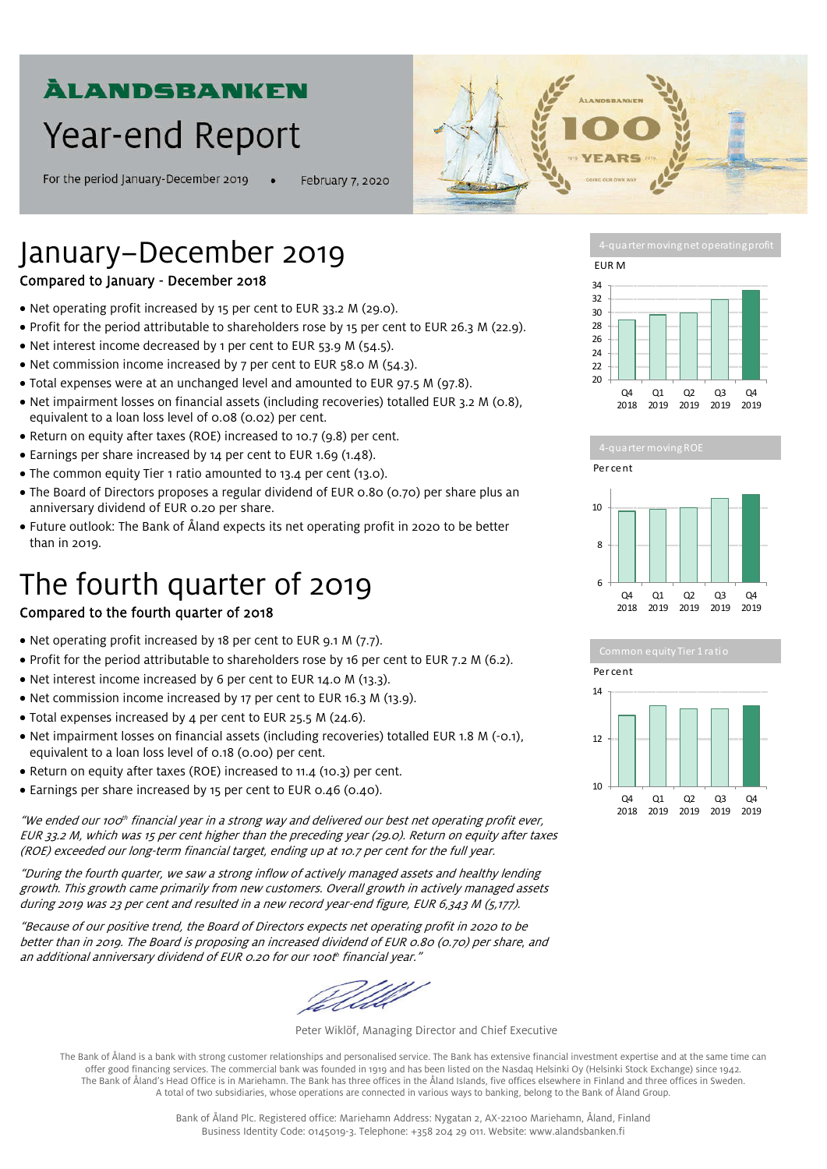# **ÀLANDSBANKEN**

# **Year-end Report**

For the period January-December 2019

February 7, 2020



# January−December 2019

# Compared to January - December 2018

- Net operating profit increased by 15 per cent to EUR 33.2 M (29.0).
- Profit for the period attributable to shareholders rose by 15 per cent to EUR 26.3 M (22.9).
- Net interest income decreased by 1 per cent to EUR 53.9 M (54.5).
- Net commission income increased by 7 per cent to EUR 58.0 M (54.3).
- Total expenses were at an unchanged level and amounted to EUR 97.5 M (97.8).
- Net impairment losses on financial assets (including recoveries) totalled EUR 3.2 M (0.8), equivalent to a loan loss level of 0.08 (0.02) per cent.
- Return on equity after taxes (ROE) increased to 10.7 (9.8) per cent.
- Earnings per share increased by 14 per cent to EUR 1.69 (1.48).
- The common equity Tier 1 ratio amounted to 13.4 per cent (13.0).
- The Board of Directors proposes a regular dividend of EUR 0.80 (0.70) per share plus an anniversary dividend of EUR 0.20 per share.
- Future outlook: The Bank of Åland expects its net operating profit in 2020 to be better than in 2019.

# The fourth quarter of 2019

# Compared to the fourth quarter of 2018

- Net operating profit increased by 18 per cent to EUR 9.1 M (7.7).
- Profit for the period attributable to shareholders rose by 16 per cent to EUR 7.2 M (6.2).
- Net interest income increased by 6 per cent to EUR 14.0 M (13.3).
- Net commission income increased by 17 per cent to EUR 16.3 M (13.9).
- Total expenses increased by 4 per cent to EUR 25.5 M (24.6).
- Net impairment losses on financial assets (including recoveries) totalled EUR 1.8 M (-0.1), equivalent to a loan loss level of 0.18 (0.00) per cent.
- Return on equity after taxes (ROE) increased to 11.4 (10.3) per cent.
- Earnings per share increased by 15 per cent to EUR 0.46 (0.40).

"We ended our 100th financial year in a strong way and delivered our best net operating profit ever, EUR 33.2 M, which was 15 per cent higher than the preceding year (29.0). Return on equity after taxes (ROE) exceeded our long-term financial target, ending up at 10.7 per cent for the full year.

"During the fourth quarter, we saw a strong inflow of actively managed assets and healthy lending growth. This growth came primarily from new customers. Overall growth in actively managed assets during 2019 was 23 per cent and resulted in a new record year-end figure, EUR 6,343 M (5,177).

"Because of our positive trend, the Board of Directors expects net operating profit in 2020 to be better than in 2019. The Board is proposing an increased dividend of EUR 0.80 (0.70) per share, and an additional anniversary dividend of EUR 0.20 for our 100th financial year."

Peter Wiklöf, Managing Director and Chief Executive

The Bank of Åland is a bank with strong customer relationships and personalised service. The Bank has extensive financial investment expertise and at the same time can offer good financing services. The commercial bank was founded in 1919 and has been listed on the Nasdaq Helsinki Oy (Helsinki Stock Exchange) since 1942. The Bank of Åland's Head Office is in Mariehamn. The Bank has three offices in the Åland Islands, five offices elsewhere in Finland and three offices in Sweden. A total of two subsidiaries, whose operations are connected in various ways to banking, belong to the Bank of Åland Group.









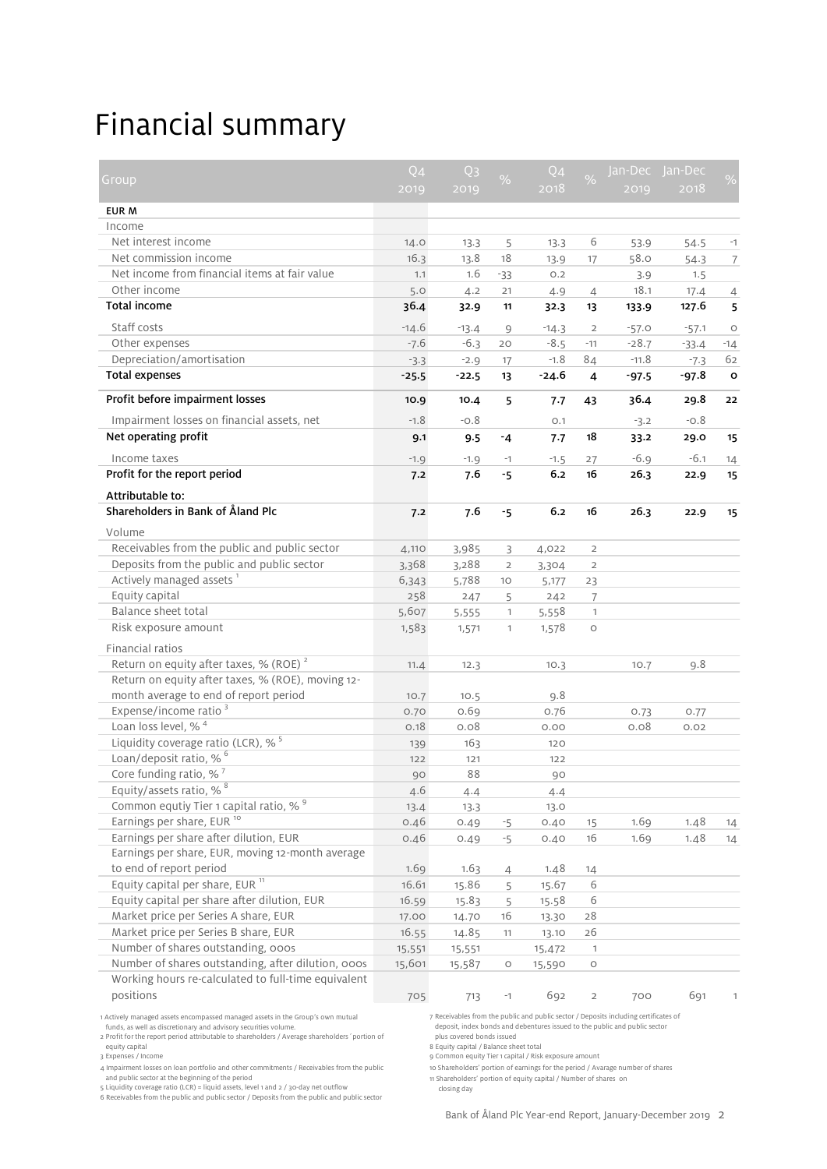# Financial summary

|                                                                                        | $Q_4$   | Q <sub>3</sub> | %                            | Q <sub>4</sub> | $\frac{1}{2}$           | Jan-Dec | Jan-Dec |                |
|----------------------------------------------------------------------------------------|---------|----------------|------------------------------|----------------|-------------------------|---------|---------|----------------|
| Group                                                                                  | 2019    | 2019           |                              | 2018           |                         | 2019    | 2018    | $\frac{1}{2}$  |
| EUR M                                                                                  |         |                |                              |                |                         |         |         |                |
| Income                                                                                 |         |                |                              |                |                         |         |         |                |
| Net interest income                                                                    | 14.0    | 13.3           | 5                            | 13.3           | 6                       | 53.9    | 54.5    | $-1$           |
| Net commission income                                                                  | 16.3    | 13.8           | 18                           | 13.9           | 17                      | 58.0    | 54.3    | $\overline{7}$ |
| Net income from financial items at fair value                                          | 1.1     | 1.6            | $-33$                        | O.2            |                         | 3.9     | 1.5     |                |
| Other income                                                                           | 5.0     | 4.2            | 21                           | 4.9            | $\overline{4}$          | 18.1    | 17.4    | $\overline{4}$ |
| Total income                                                                           | 36.4    | 32.9           | 11                           | 32.3           | 13                      | 133.9   | 127.6   | 5              |
| Staff costs                                                                            | $-14.6$ | $-13.4$        | 9                            | $-14.3$        | $\overline{2}$          | $-57.0$ | $-57.1$ | $\circ$        |
| Other expenses                                                                         | $-7.6$  | $-6.3$         | 20                           | $-8.5$         | $-11$                   | $-28.7$ | $-33.4$ | $-14$          |
| Depreciation/amortisation                                                              | $-3.3$  | $-2.9$         | 17                           | $-1.8$         | 84                      | $-11.8$ | $-7.3$  | 62             |
| <b>Total expenses</b>                                                                  | $-25.5$ | $-22.5$        | 13                           | $-24.6$        | 4                       | $-97.5$ | -97.8   | o              |
| Profit before impairment losses                                                        | 10.9    | 10.4           | 5                            | 7.7            | 43                      | 36.4    | 29.8    | 22             |
| Impairment losses on financial assets, net                                             | $-1.8$  | $-0.8$         |                              | O.1            |                         | $-3.2$  | $-0.8$  |                |
| Net operating profit                                                                   | 9.1     | 9.5            | $-4$                         | 7.7            | 18                      | 33.2    | 29.0    | 15             |
| Income taxes                                                                           | $-1.9$  | $-1.9$         | $-1$                         | $-1.5$         | 27                      | $-6.9$  | $-6.1$  | 14             |
| Profit for the report period                                                           | 7.2     | 7.6            | $-5$                         | 6.2            | 16                      | 26.3    | 22.9    | 15             |
| Attributable to:                                                                       |         |                |                              |                |                         |         |         |                |
| Shareholders in Bank of Åland Plc                                                      | 7.2     | 7.6            | -5                           | 6.2            | 16                      | 26.3    | 22.9    | 15             |
|                                                                                        |         |                |                              |                |                         |         |         |                |
| Volume<br>Receivables from the public and public sector                                |         |                |                              |                |                         |         |         |                |
|                                                                                        | 4,110   | 3,985          | 3                            | 4,022          | $\overline{2}$          |         |         |                |
| Deposits from the public and public sector<br>Actively managed assets <sup>1</sup>     | 3,368   | 3,288          | $\overline{2}$               | 3,304          | $\overline{2}$          |         |         |                |
| Equity capital                                                                         | 6,343   | 5,788          | 10                           | 5,177          | 23                      |         |         |                |
| Balance sheet total                                                                    | 258     | 247            | 5                            | 242            | $\overline{7}$          |         |         |                |
| Risk exposure amount                                                                   | 5,607   | 5,555          | $\mathbf{1}$<br>$\mathbf{1}$ | 5,558          | $\mathbf{1}$<br>$\circ$ |         |         |                |
|                                                                                        | 1,583   | 1,571          |                              | 1,578          |                         |         |         |                |
| Financial ratios                                                                       |         |                |                              |                |                         |         |         |                |
| Return on equity after taxes, % (ROE) <sup>2</sup>                                     | 11.4    | 12.3           |                              | 10.3           |                         | 10.7    | 9.8     |                |
| Return on equity after taxes, % (ROE), moving 12-                                      |         |                |                              |                |                         |         |         |                |
| month average to end of report period                                                  | 10.7    | 10.5           |                              | 9.8            |                         |         |         |                |
| Expense/income ratio <sup>3</sup>                                                      | 0.70    | 0.69           |                              | 0.76           |                         | 0.73    | 0.77    |                |
| Loan loss level, % <sup>4</sup>                                                        | 0.18    | 0.08           |                              | 0.00           |                         | 0.08    | 0.02    |                |
| Liquidity coverage ratio (LCR), $%$ <sup>5</sup><br>Loan/deposit ratio, % <sup>6</sup> | 139     | 163            |                              | 120            |                         |         |         |                |
| Core funding ratio, $%$ <sup>7</sup>                                                   | 122     | 121            |                              | 122            |                         |         |         |                |
| Equity/assets ratio, % 8                                                               | 90      | 88             |                              | 90             |                         |         |         |                |
| Common equtiy Tier 1 capital ratio, % 9                                                | 4.6     | 4.4            |                              | 4.4            |                         |         |         |                |
| Earnings per share, EUR <sup>10</sup>                                                  | 13.4    | 13.3           |                              | 13.0           |                         |         |         |                |
| Earnings per share after dilution, EUR                                                 | 0.46    | 0.49           | $-5$                         | 0.40           | 15                      | 1.69    | 1.48    | 14             |
| Earnings per share, EUR, moving 12-month average                                       | 0.46    | 0.49           | $-5$                         | 0.40           | 16                      | 1.69    | 1.48    | 14             |
|                                                                                        |         |                |                              |                |                         |         |         |                |
| to end of report period<br>Equity capital per share, EUR <sup>11</sup>                 | 1.69    | 1.63           | 4                            | 1.48           | 14<br>6                 |         |         |                |
| Equity capital per share after dilution, EUR                                           | 16.61   | 15.86          | 5                            | 15.67          |                         |         |         |                |
|                                                                                        | 16.59   | 15.83          | 5                            | 15.58          | 6                       |         |         |                |
| Market price per Series A share, EUR                                                   | 17.00   | 14.70          | 16                           | 13.30          | 28                      |         |         |                |
| Market price per Series B share, EUR<br>Number of shares outstanding, ooos             | 16.55   | 14.85          | 11                           | 13.10          | 26                      |         |         |                |
| Number of shares outstanding, after dilution, ooos                                     | 15,551  | 15,551         |                              | 15,472         | $\mathbf{1}$            |         |         |                |
| Working hours re-calculated to full-time equivalent                                    | 15,601  | 15,587         | $\circ$                      | 15,590         | $\circ$                 |         |         |                |
| positions                                                                              |         |                |                              |                |                         |         |         |                |
|                                                                                        | 705     | 713            | $-1$                         | 692            | $\overline{2}$          | 700     | 691     | 1              |

1 Actively managed assets encompassed managed assets in the Group's own mutual<br>- funds, as well as discretionary and advisory securities volume.<br>2 Profit for the report period attributable to shareholders / Average shareho

equity capital<br>3 Expenses / Income

4 Impairment losses on loan portfolio and other commitments / Receivables from the public

and public sector at the beginning of the period<br>5 Liquidity coverage ratio (LCR) = liquid assets, level 1 and 2 / 30-day net outflow

6 Receivables from the public and public sector / Deposits from the public and public sector

7 Receivables from the public and public sector / Deposits including certificates of deposit, index bonds and debentures issued to the public and public sector plus covered bonds issued

8 Equity capital / Balance sheet total 9 Common equity Tier 1 capital / Risk exposure amount

10 Shareholders' portion of earnings for the period / Avarage number of shares

11 Shareholders' portion of equity capital / Number of shares on closing day

Bank of Åland Plc Year-end Report, January-December 2019 2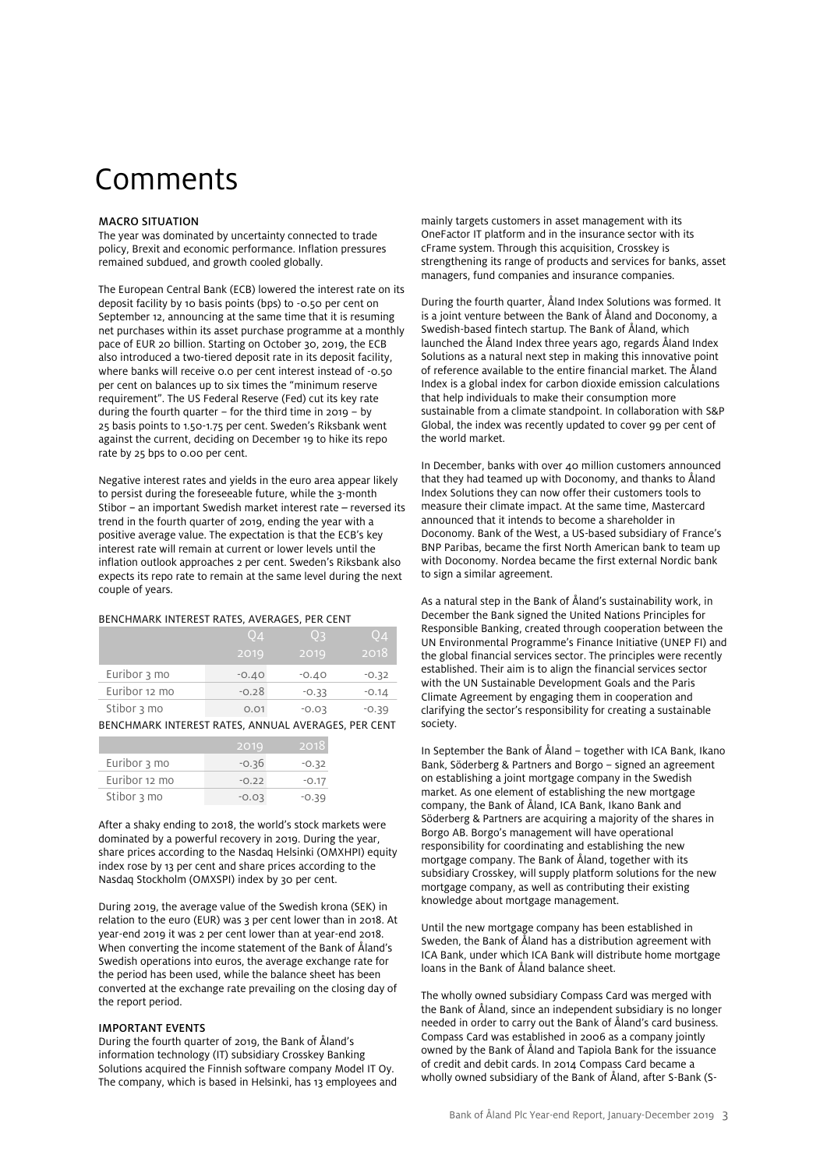# Comments

### MACRO SITUATION

The year was dominated by uncertainty connected to trade policy, Brexit and economic performance. Inflation pressures remained subdued, and growth cooled globally.

The European Central Bank (ECB) lowered the interest rate on its deposit facility by 10 basis points (bps) to -0.50 per cent on September 12, announcing at the same time that it is resuming net purchases within its asset purchase programme at a monthly pace of EUR 20 billion. Starting on October 30, 2019, the ECB also introduced a two-tiered deposit rate in its deposit facility, where banks will receive 0.0 per cent interest instead of -0.50 per cent on balances up to six times the "minimum reserve requirement". The US Federal Reserve (Fed) cut its key rate during the fourth quarter – for the third time in 2019 – by 25 basis points to 1.50-1.75 per cent. Sweden's Riksbank went against the current, deciding on December 19 to hike its repo rate by 25 bps to 0.00 per cent.

Negative interest rates and yields in the euro area appear likely to persist during the foreseeable future, while the 3-month Stibor − an important Swedish market interest rate – reversed its trend in the fourth quarter of 2019, ending the year with a positive average value. The expectation is that the ECB's key interest rate will remain at current or lower levels until the inflation outlook approaches 2 per cent. Sweden's Riksbank also expects its repo rate to remain at the same level during the next couple of years.

### BENCHMARK INTEREST RATES, AVERAGES, PER CENT

|               | Q4      | Oз      | Q4      |
|---------------|---------|---------|---------|
|               | 2019    | 2019    | 2018    |
| Euribor 3 mo  | $-0.40$ | $-0.40$ | $-0.32$ |
| Euribor 12 mo | $-0.28$ | $-0.33$ | $-0.14$ |
| Stibor 3 mo   | 0.01    | $-0.03$ | $-0.39$ |

BENCHMARK INTEREST RATES, ANNUAL AVERAGES, PER CENT

|               | 2019    | .2018   |
|---------------|---------|---------|
| Euribor 3 mo  | $-0.36$ | $-0.32$ |
| Euribor 12 mo | $-0.22$ | $-0.17$ |
| Stibor 3 mo   | $-0.03$ | $-0.39$ |

After a shaky ending to 2018, the world's stock markets were dominated by a powerful recovery in 2019. During the year, share prices according to the Nasdaq Helsinki (OMXHPI) equity index rose by 13 per cent and share prices according to the Nasdaq Stockholm (OMXSPI) index by 30 per cent.

During 2019, the average value of the Swedish krona (SEK) in relation to the euro (EUR) was 3 per cent lower than in 2018. At year-end 2019 it was 2 per cent lower than at year-end 2018. When converting the income statement of the Bank of Åland's Swedish operations into euros, the average exchange rate for the period has been used, while the balance sheet has been converted at the exchange rate prevailing on the closing day of the report period.

### IMPORTANT EVENTS

During the fourth quarter of 2019, the Bank of Åland's information technology (IT) subsidiary Crosskey Banking Solutions acquired the Finnish software company Model IT Oy. The company, which is based in Helsinki, has 13 employees and mainly targets customers in asset management with its OneFactor IT platform and in the insurance sector with its cFrame system. Through this acquisition, Crosskey is strengthening its range of products and services for banks, asset managers, fund companies and insurance companies.

During the fourth quarter, Åland Index Solutions was formed. It is a joint venture between the Bank of Åland and Doconomy, a Swedish-based fintech startup. The Bank of Åland, which launched the Åland Index three years ago, regards Åland Index Solutions as a natural next step in making this innovative point of reference available to the entire financial market. The Åland Index is a global index for carbon dioxide emission calculations that help individuals to make their consumption more sustainable from a climate standpoint. In collaboration with S&P Global, the index was recently updated to cover 99 per cent of the world market.

In December, banks with over 40 million customers announced that they had teamed up with Doconomy, and thanks to Åland Index Solutions they can now offer their customers tools to measure their climate impact. At the same time, Mastercard announced that it intends to become a shareholder in Doconomy. Bank of the West, a US-based subsidiary of France's BNP Paribas, became the first North American bank to team up with Doconomy. Nordea became the first external Nordic bank to sign a similar agreement.

As a natural step in the Bank of Åland's sustainability work, in December the Bank signed the United Nations Principles for Responsible Banking, created through cooperation between the UN Environmental Programme's Finance Initiative (UNEP FI) and the global financial services sector. The principles were recently established. Their aim is to align the financial services sector with the UN Sustainable Development Goals and the Paris Climate Agreement by engaging them in cooperation and clarifying the sector's responsibility for creating a sustainable society.

In September the Bank of Åland – together with ICA Bank, Ikano Bank, Söderberg & Partners and Borgo – signed an agreement on establishing a joint mortgage company in the Swedish market. As one element of establishing the new mortgage company, the Bank of Åland, ICA Bank, Ikano Bank and Söderberg & Partners are acquiring a majority of the shares in Borgo AB. Borgo's management will have operational responsibility for coordinating and establishing the new mortgage company. The Bank of Åland, together with its subsidiary Crosskey, will supply platform solutions for the new mortgage company, as well as contributing their existing knowledge about mortgage management.

Until the new mortgage company has been established in Sweden, the Bank of Åland has a distribution agreement with ICA Bank, under which ICA Bank will distribute home mortgage loans in the Bank of Åland balance sheet.

The wholly owned subsidiary Compass Card was merged with the Bank of Åland, since an independent subsidiary is no longer needed in order to carry out the Bank of Åland's card business. Compass Card was established in 2006 as a company jointly owned by the Bank of Åland and Tapiola Bank for the issuance of credit and debit cards. In 2014 Compass Card became a wholly owned subsidiary of the Bank of Åland, after S-Bank (S-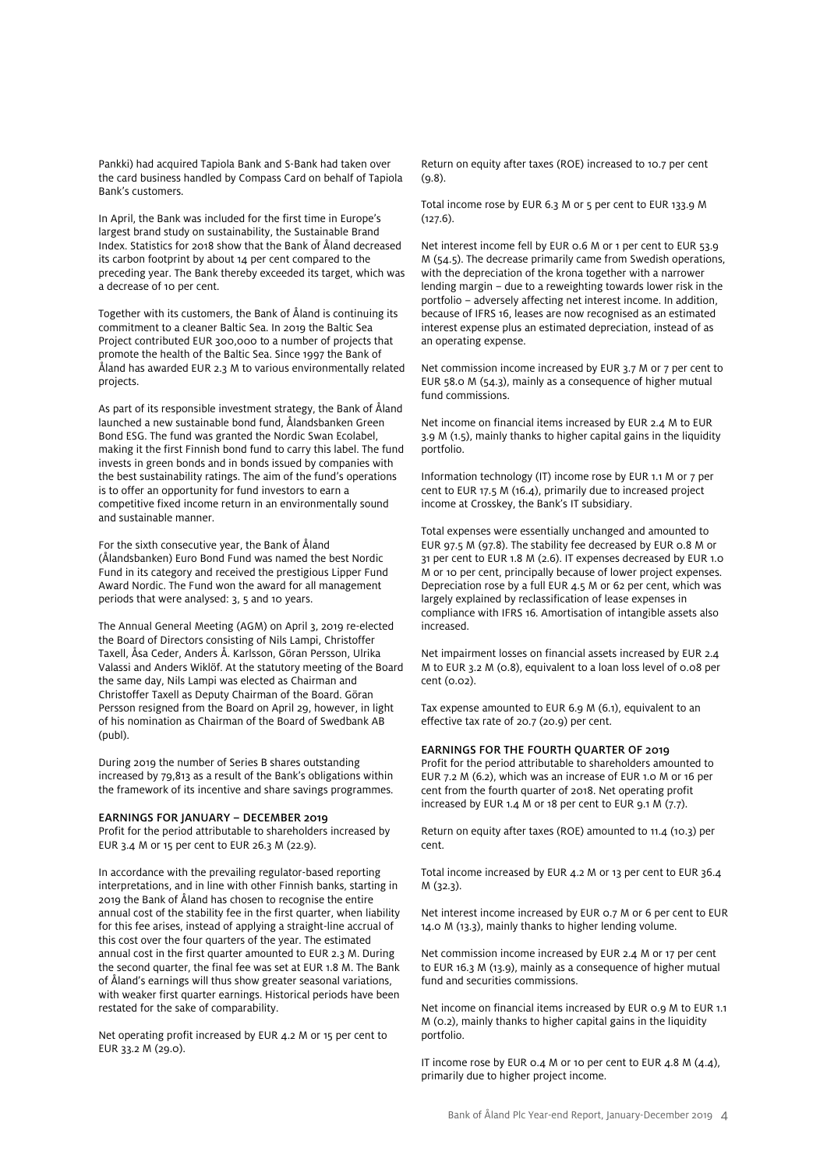Pankki) had acquired Tapiola Bank and S-Bank had taken over the card business handled by Compass Card on behalf of Tapiola Bank's customers.

In April, the Bank was included for the first time in Europe's largest brand study on sustainability, the Sustainable Brand Index. Statistics for 2018 show that the Bank of Åland decreased its carbon footprint by about 14 per cent compared to the preceding year. The Bank thereby exceeded its target, which was a decrease of 10 per cent.

Together with its customers, the Bank of Åland is continuing its commitment to a cleaner Baltic Sea. In 2019 the Baltic Sea Project contributed EUR 300,000 to a number of projects that promote the health of the Baltic Sea. Since 1997 the Bank of Åland has awarded EUR 2.3 M to various environmentally related projects.

As part of its responsible investment strategy, the Bank of Åland launched a new sustainable bond fund, Ålandsbanken Green Bond ESG. The fund was granted the Nordic Swan Ecolabel, making it the first Finnish bond fund to carry this label. The fund invests in green bonds and in bonds issued by companies with the best sustainability ratings. The aim of the fund's operations is to offer an opportunity for fund investors to earn a competitive fixed income return in an environmentally sound and sustainable manner.

For the sixth consecutive year, the Bank of Åland (Ålandsbanken) Euro Bond Fund was named the best Nordic Fund in its category and received the prestigious Lipper Fund Award Nordic. The Fund won the award for all management periods that were analysed: 3, 5 and 10 years.

The Annual General Meeting (AGM) on April 3, 2019 re-elected the Board of Directors consisting of Nils Lampi, Christoffer Taxell, Åsa Ceder, Anders Å. Karlsson, Göran Persson, Ulrika Valassi and Anders Wiklöf. At the statutory meeting of the Board the same day, Nils Lampi was elected as Chairman and Christoffer Taxell as Deputy Chairman of the Board. Göran Persson resigned from the Board on April 29, however, in light of his nomination as Chairman of the Board of Swedbank AB (publ).

During 2019 the number of Series B shares outstanding increased by 79,813 as a result of the Bank's obligations within the framework of its incentive and share savings programmes.

#### EARNINGS FOR JANUARY – DECEMBER 2019

Profit for the period attributable to shareholders increased by EUR 3.4 M or 15 per cent to EUR 26.3 M (22.9).

In accordance with the prevailing regulator-based reporting interpretations, and in line with other Finnish banks, starting in 2019 the Bank of Åland has chosen to recognise the entire annual cost of the stability fee in the first quarter, when liability for this fee arises, instead of applying a straight-line accrual of this cost over the four quarters of the year. The estimated annual cost in the first quarter amounted to EUR 2.3 M. During the second quarter, the final fee was set at EUR 1.8 M. The Bank of Åland's earnings will thus show greater seasonal variations, with weaker first quarter earnings. Historical periods have been restated for the sake of comparability.

Net operating profit increased by EUR 4.2 M or 15 per cent to EUR 33.2 M (29.0).

Return on equity after taxes (ROE) increased to 10.7 per cent (9.8).

Total income rose by EUR 6.3 M or 5 per cent to EUR 133.9 M (127.6).

Net interest income fell by EUR 0.6 M or 1 per cent to EUR 53.9 M (54.5). The decrease primarily came from Swedish operations, with the depreciation of the krona together with a narrower lending margin – due to a reweighting towards lower risk in the portfolio – adversely affecting net interest income. In addition, because of IFRS 16, leases are now recognised as an estimated interest expense plus an estimated depreciation, instead of as an operating expense.

Net commission income increased by EUR 3.7 M or 7 per cent to EUR 58.0 M (54.3), mainly as a consequence of higher mutual fund commissions.

Net income on financial items increased by EUR 2.4 M to EUR 3.9 M (1.5), mainly thanks to higher capital gains in the liquidity portfolio.

Information technology (IT) income rose by EUR 1.1 M or 7 per cent to EUR 17.5 M (16.4), primarily due to increased project income at Crosskey, the Bank's IT subsidiary.

Total expenses were essentially unchanged and amounted to EUR 97.5 M (97.8). The stability fee decreased by EUR 0.8 M or 31 per cent to EUR 1.8 M (2.6). IT expenses decreased by EUR 1.0 M or 10 per cent, principally because of lower project expenses. Depreciation rose by a full EUR 4.5 M or 62 per cent, which was largely explained by reclassification of lease expenses in compliance with IFRS 16. Amortisation of intangible assets also increased.

Net impairment losses on financial assets increased by EUR 2.4 M to EUR 3.2 M (0.8), equivalent to a loan loss level of 0.08 per cent (0.02).

Tax expense amounted to EUR 6.9 M (6.1), equivalent to an effective tax rate of 20.7 (20.9) per cent.

### EARNINGS FOR THE FOURTH QUARTER OF 2019

Profit for the period attributable to shareholders amounted to EUR 7.2 M (6.2), which was an increase of EUR 1.0 M or 16 per cent from the fourth quarter of 2018. Net operating profit increased by EUR 1.4 M or 18 per cent to EUR 9.1 M (7.7).

Return on equity after taxes (ROE) amounted to 11.4 (10.3) per cent.

Total income increased by EUR 4.2 M or 13 per cent to EUR 36.4 M (32.3).

Net interest income increased by EUR 0.7 M or 6 per cent to EUR 14.0 M (13.3), mainly thanks to higher lending volume.

Net commission income increased by EUR 2.4 M or 17 per cent to EUR 16.3 M (13.9), mainly as a consequence of higher mutual fund and securities commissions.

Net income on financial items increased by EUR 0.9 M to EUR 1.1 M (0.2), mainly thanks to higher capital gains in the liquidity portfolio.

IT income rose by EUR 0.4 M or 10 per cent to EUR 4.8 M (4.4), primarily due to higher project income.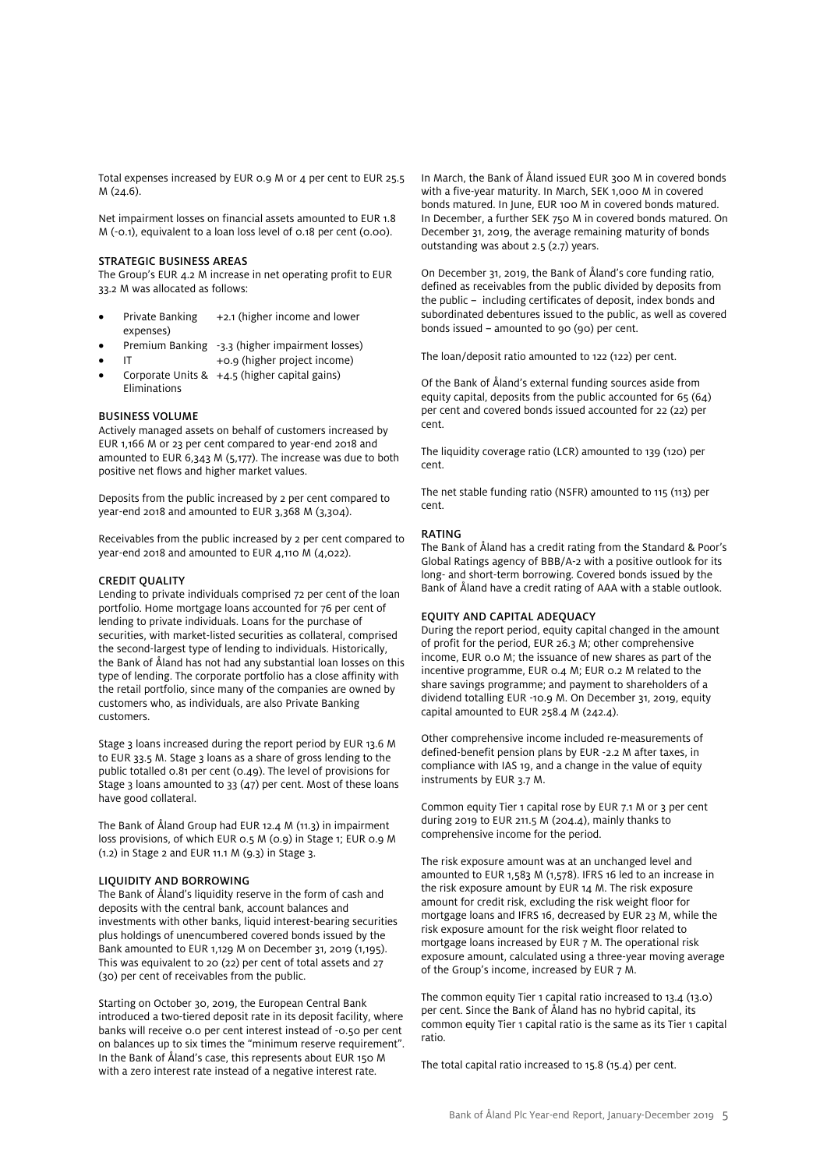Total expenses increased by EUR 0.9 M or 4 per cent to EUR 25.5 M (24.6).

Net impairment losses on financial assets amounted to EUR 1.8 M (-0.1), equivalent to a loan loss level of 0.18 per cent (0.00).

### STRATEGIC BUSINESS AREAS

The Group's EUR 4.2 M increase in net operating profit to EUR 33.2 M was allocated as follows:

- Private Banking +2.1 (higher income and lower expenses)
- Premium Banking -3.3 (higher impairment losses)
- IT +0.9 (higher project income)
- Corporate Units & +4.5 (higher capital gains) Eliminations

### BUSINESS VOLUME

Actively managed assets on behalf of customers increased by EUR 1,166 M or 23 per cent compared to year-end 2018 and amounted to EUR 6,343 M (5,177). The increase was due to both positive net flows and higher market values.

Deposits from the public increased by 2 per cent compared to year-end 2018 and amounted to EUR 3,368 M (3,304).

Receivables from the public increased by 2 per cent compared to year-end 2018 and amounted to EUR 4,110 M (4,022).

#### CREDIT QUALITY

Lending to private individuals comprised 72 per cent of the loan portfolio. Home mortgage loans accounted for 76 per cent of lending to private individuals. Loans for the purchase of securities, with market-listed securities as collateral, comprised the second-largest type of lending to individuals. Historically, the Bank of Åland has not had any substantial loan losses on this type of lending. The corporate portfolio has a close affinity with the retail portfolio, since many of the companies are owned by customers who, as individuals, are also Private Banking customers.

Stage 3 loans increased during the report period by EUR 13.6 M to EUR 33.5 M. Stage 3 loans as a share of gross lending to the public totalled 0.81 per cent (0.49). The level of provisions for Stage 3 loans amounted to 33 (47) per cent. Most of these loans have good collateral.

The Bank of Åland Group had EUR 12.4 M (11.3) in impairment loss provisions, of which EUR 0.5 M (0.9) in Stage 1; EUR 0.9 M (1.2) in Stage 2 and EUR 11.1 M (9.3) in Stage 3.

### LIQUIDITY AND BORROWING

The Bank of Åland's liquidity reserve in the form of cash and deposits with the central bank, account balances and investments with other banks, liquid interest-bearing securities plus holdings of unencumbered covered bonds issued by the Bank amounted to EUR 1,129 M on December 31, 2019 (1,195). This was equivalent to 20 (22) per cent of total assets and 27 (30) per cent of receivables from the public.

Starting on October 30, 2019, the European Central Bank introduced a two-tiered deposit rate in its deposit facility, where banks will receive 0.0 per cent interest instead of -0.50 per cent on balances up to six times the "minimum reserve requirement". In the Bank of Åland's case, this represents about EUR 150 M with a zero interest rate instead of a negative interest rate.

In March, the Bank of Åland issued EUR 300 M in covered bonds with a five-year maturity. In March, SEK 1,000 M in covered bonds matured. In June, EUR 100 M in covered bonds matured. In December, a further SEK 750 M in covered bonds matured. On December 31, 2019, the average remaining maturity of bonds outstanding was about 2.5 (2.7) years.

On December 31, 2019, the Bank of Åland's core funding ratio, defined as receivables from the public divided by deposits from the public − including certificates of deposit, index bonds and subordinated debentures issued to the public, as well as covered bonds issued − amounted to 90 (90) per cent.

The loan/deposit ratio amounted to 122 (122) per cent.

Of the Bank of Åland's external funding sources aside from equity capital, deposits from the public accounted for 65 (64) per cent and covered bonds issued accounted for 22 (22) per cent.

The liquidity coverage ratio (LCR) amounted to 139 (120) per cent.

The net stable funding ratio (NSFR) amounted to 115 (113) per cent.

#### RATING

The Bank of Åland has a credit rating from the Standard & Poor's Global Ratings agency of BBB/A-2 with a positive outlook for its long- and short-term borrowing. Covered bonds issued by the Bank of Åland have a credit rating of AAA with a stable outlook.

### EQUITY AND CAPITAL ADEQUACY

During the report period, equity capital changed in the amount of profit for the period, EUR 26.3 M; other comprehensive income, EUR 0.0 M; the issuance of new shares as part of the incentive programme, EUR 0.4 M; EUR 0.2 M related to the share savings programme; and payment to shareholders of a dividend totalling EUR -10.9 M. On December 31, 2019, equity capital amounted to EUR 258.4 M (242.4).

Other comprehensive income included re-measurements of defined-benefit pension plans by EUR -2.2 M after taxes, in compliance with IAS 19, and a change in the value of equity instruments by EUR 3.7 M.

Common equity Tier 1 capital rose by EUR 7.1 M or 3 per cent during 2019 to EUR 211.5 M (204.4), mainly thanks to comprehensive income for the period.

The risk exposure amount was at an unchanged level and amounted to EUR 1,583 M (1,578). IFRS 16 led to an increase in the risk exposure amount by EUR 14 M. The risk exposure amount for credit risk, excluding the risk weight floor for mortgage loans and IFRS 16, decreased by EUR 23 M, while the risk exposure amount for the risk weight floor related to mortgage loans increased by EUR 7 M. The operational risk exposure amount, calculated using a three-year moving average of the Group's income, increased by EUR 7 M.

The common equity Tier 1 capital ratio increased to 13.4 (13.0) per cent. Since the Bank of Åland has no hybrid capital, its common equity Tier 1 capital ratio is the same as its Tier 1 capital ratio.

The total capital ratio increased to 15.8 (15.4) per cent.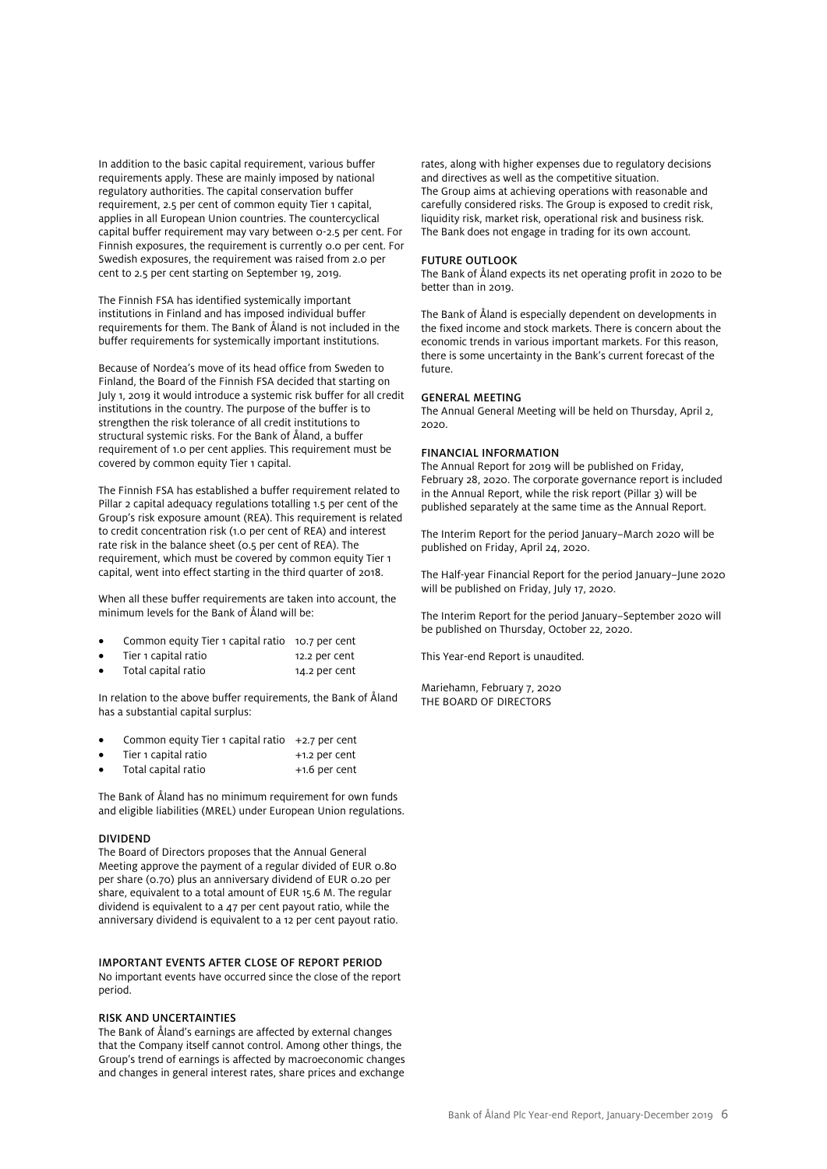In addition to the basic capital requirement, various buffer requirements apply. These are mainly imposed by national regulatory authorities. The capital conservation buffer requirement, 2.5 per cent of common equity Tier 1 capital, applies in all European Union countries. The countercyclical capital buffer requirement may vary between 0-2.5 per cent. For Finnish exposures, the requirement is currently 0.0 per cent. For Swedish exposures, the requirement was raised from 2.0 per cent to 2.5 per cent starting on September 19, 2019.

The Finnish FSA has identified systemically important institutions in Finland and has imposed individual buffer requirements for them. The Bank of Åland is not included in the buffer requirements for systemically important institutions.

Because of Nordea's move of its head office from Sweden to Finland, the Board of the Finnish FSA decided that starting on July 1, 2019 it would introduce a systemic risk buffer for all credit institutions in the country. The purpose of the buffer is to strengthen the risk tolerance of all credit institutions to structural systemic risks. For the Bank of Åland, a buffer requirement of 1.0 per cent applies. This requirement must be covered by common equity Tier 1 capital.

The Finnish FSA has established a buffer requirement related to Pillar 2 capital adequacy regulations totalling 1.5 per cent of the Group's risk exposure amount (REA). This requirement is related to credit concentration risk (1.0 per cent of REA) and interest rate risk in the balance sheet (0.5 per cent of REA). The requirement, which must be covered by common equity Tier 1 capital, went into effect starting in the third quarter of 2018.

When all these buffer requirements are taken into account, the minimum levels for the Bank of Åland will be:

- Common equity Tier 1 capital ratio 10.7 per cent
- Tier 1 capital ratio 12.2 per cent
- Total capital ratio 14.2 per cent

In relation to the above buffer requirements, the Bank of Åland has a substantial capital surplus:

- Common equity Tier 1 capital ratio  $+2.7$  per cent
- Tier 1 capital ratio  $+1.2$  per cent
- Total capital ratio  $+1.6$  per cent

The Bank of Åland has no minimum requirement for own funds and eligible liabilities (MREL) under European Union regulations.

#### DIVIDEND

The Board of Directors proposes that the Annual General Meeting approve the payment of a regular divided of EUR 0.80 per share (0.70) plus an anniversary dividend of EUR 0.20 per share, equivalent to a total amount of EUR 15.6 M. The regular dividend is equivalent to a 47 per cent payout ratio, while the anniversary dividend is equivalent to a 12 per cent payout ratio.

#### IMPORTANT EVENTS AFTER CLOSE OF REPORT PERIOD

No important events have occurred since the close of the report period.

#### RISK AND UNCERTAINTIES

The Bank of Åland's earnings are affected by external changes that the Company itself cannot control. Among other things, the Group's trend of earnings is affected by macroeconomic changes and changes in general interest rates, share prices and exchange

rates, along with higher expenses due to regulatory decisions and directives as well as the competitive situation. The Group aims at achieving operations with reasonable and carefully considered risks. The Group is exposed to credit risk, liquidity risk, market risk, operational risk and business risk. The Bank does not engage in trading for its own account.

#### FUTURE OUTLOOK

The Bank of Åland expects its net operating profit in 2020 to be better than in 2019.

The Bank of Åland is especially dependent on developments in the fixed income and stock markets. There is concern about the economic trends in various important markets. For this reason, there is some uncertainty in the Bank's current forecast of the future.

#### GENERAL MEETING

The Annual General Meeting will be held on Thursday, April 2, 2020.

#### FINANCIAL INFORMATION

The Annual Report for 2019 will be published on Friday, February 28, 2020. The corporate governance report is included in the Annual Report, while the risk report (Pillar 3) will be published separately at the same time as the Annual Report.

The Interim Report for the period January−March 2020 will be published on Friday, April 24, 2020.

The Half-year Financial Report for the period January−June 2020 will be published on Friday, July 17, 2020.

The Interim Report for the period January−September 2020 will be published on Thursday, October 22, 2020.

This Year-end Report is unaudited.

Mariehamn, February 7, 2020 THE BOARD OF DIRECTORS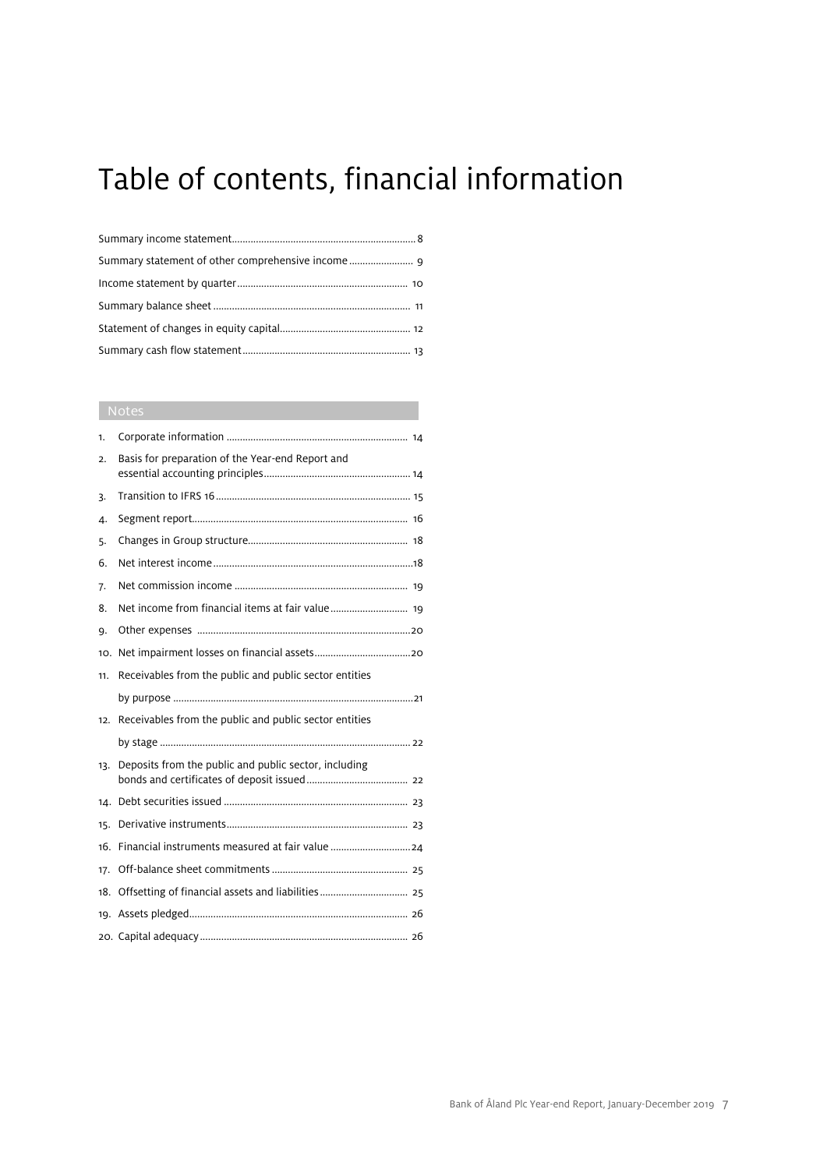# Table of contents, financial information

### Notes

| 1.  |                                                        |
|-----|--------------------------------------------------------|
| 2.  | Basis for preparation of the Year-end Report and       |
| 3.  |                                                        |
| 4.  |                                                        |
| 5.  |                                                        |
| 6.  |                                                        |
| 7.  |                                                        |
| 8.  |                                                        |
| 9.  |                                                        |
| 10. |                                                        |
| 11. | Receivables from the public and public sector entities |
|     |                                                        |
| 12. | Receivables from the public and public sector entities |
|     |                                                        |
|     |                                                        |
| 13. | Deposits from the public and public sector, including  |
|     |                                                        |
| 15. |                                                        |
| 16. |                                                        |
| 17. |                                                        |
| 18. |                                                        |
|     |                                                        |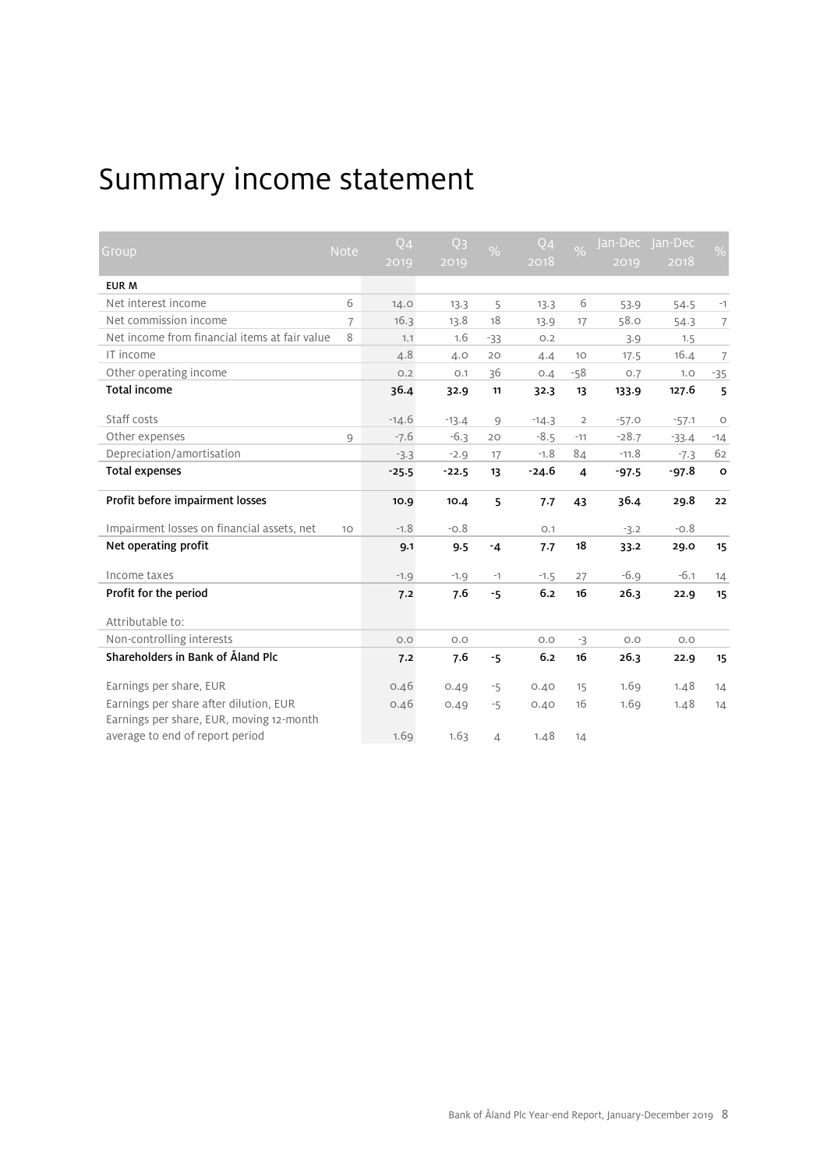# Summary income statement

| Group                                                                              | <b>Note</b>    | $Q_4$   | Q <sub>3</sub> | $\frac{0}{6}$            | Q <sub>4</sub> | $\frac{1}{2}$  | Jan-Dec | Jan-Dec | %              |
|------------------------------------------------------------------------------------|----------------|---------|----------------|--------------------------|----------------|----------------|---------|---------|----------------|
|                                                                                    |                | 2019    | 2019           |                          | 2018           |                | 2019    | 2018    |                |
| <b>EUR M</b>                                                                       |                |         |                |                          |                |                |         |         |                |
| Net interest income                                                                | 6              | 14.0    | 13.3           | 5                        | 13.3           | 6              | 53.9    | 54.5    | $-1$           |
| Net commission income                                                              | $\overline{7}$ | 16.3    | 13.8           | 18                       | 13.9           | 17             | 58.0    | 54.3    | $\overline{7}$ |
| Net income from financial items at fair value                                      | 8              | 1.1     | 1.6            | $-33$                    | O.2            |                | 3.9     | 1.5     |                |
| IT income                                                                          |                | 4.8     | 4.0            | 20                       | 4.4            | 10             | 17.5    | 16.4    | $\overline{7}$ |
| Other operating income                                                             |                | O.2     | O.1            | 36                       | O.A            | $-58$          | O.7     | 1.0     | $-35$          |
| <b>Total income</b>                                                                |                | 36.4    | 32.9           | 11                       | 32.3           | 13             | 133.9   | 127.6   | 5              |
| Staff costs                                                                        |                | $-14.6$ | $-13.4$        | $\overline{9}$           | $-14.3$        | $\overline{2}$ | $-57.0$ | $-57.1$ | $\circ$        |
| Other expenses                                                                     | 9              | $-7.6$  | $-6.3$         | 20                       | $-8.5$         | $-11$          | $-28.7$ | $-33.4$ | $-14$          |
| Depreciation/amortisation                                                          |                | $-3.3$  | $-2.9$         | 17                       | $-1.8$         | 84             | $-11.8$ | $-7.3$  | 62             |
| <b>Total expenses</b>                                                              |                | $-25.5$ | $-22.5$        | 13                       | $-24.6$        | $\overline{4}$ | $-97.5$ | $-97.8$ | $\circ$        |
| Profit before impairment losses                                                    |                | 10.9    | 10.4           | 5                        | 7.7            | 43             | 36.4    | 29.8    | 22             |
| Impairment losses on financial assets, net                                         | 10             | $-1.8$  | $-0.8$         |                          | O.1            |                | $-3.2$  | $-0.8$  |                |
| Net operating profit                                                               |                | 9.1     | 9.5            | $-4$                     | 7.7            | 18             | 33.2    | 29.0    | 15             |
| Income taxes                                                                       |                | $-1.9$  | $-1.9$         | $-1$                     | $-1.5$         | 27             | $-6.9$  | $-6.1$  | 14             |
| Profit for the period                                                              |                | 7.2     | 7.6            | $-5$                     | 6.2            | 16             | 26.3    | 22.9    | 15             |
| Attributable to:                                                                   |                |         |                |                          |                |                |         |         |                |
| Non-controlling interests                                                          |                | O.O     | O.O            |                          | O.O            | $-3$           | O.O     | O.O     |                |
| Shareholders in Bank of Åland Plc                                                  |                | 7.2     | 7.6            | $-5$                     | 6.2            | 16             | 26.3    | 22.9    | 15             |
| Earnings per share, EUR                                                            |                | 0.46    | 0.49           | $-5$                     | 0.40           | 15             | 1.69    | 1.48    | 14             |
| Earnings per share after dilution, EUR<br>Earnings per share, EUR, moving 12-month |                | 0.46    | 0.49           | $-5$                     | 0.40           | 16             | 1.69    | 1.48    | 14             |
| average to end of report period                                                    |                | 1.69    | 1.63           | $\overline{\mathcal{A}}$ | 1.48           | 14             |         |         |                |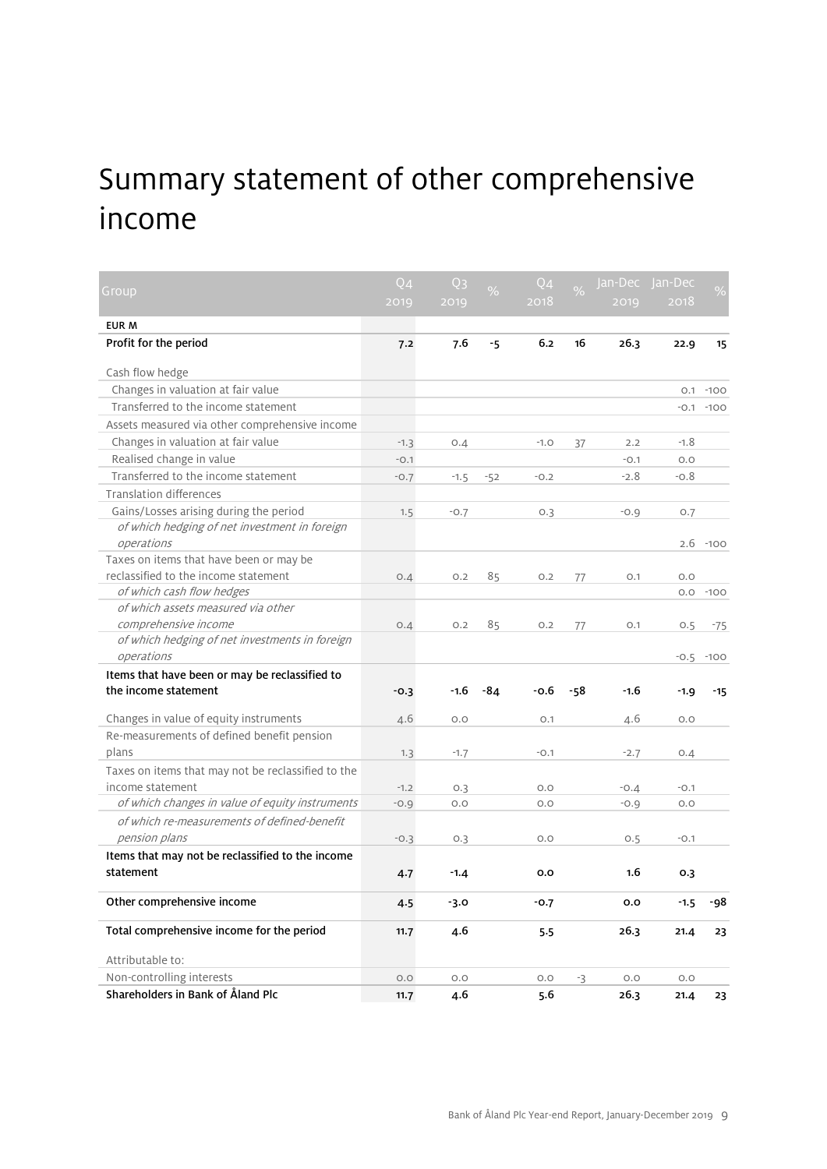# Summary statement of other comprehensive income

| Group                                                       | Q <sub>4</sub> | Q <sub>3</sub> | $\%$  | $Q_4$  | $\frac{9}{6}$ | Jan-Dec | Jan-Dec |        |
|-------------------------------------------------------------|----------------|----------------|-------|--------|---------------|---------|---------|--------|
|                                                             | 2019           | 2019           |       | 2018   |               | 2019    | 2018    |        |
| EUR M                                                       |                |                |       |        |               |         |         |        |
| Profit for the period                                       | 7.2            | 7.6            | $-5$  | 6.2    | 16            | 26.3    | 22.9    | 15     |
| Cash flow hedge                                             |                |                |       |        |               |         |         |        |
| Changes in valuation at fair value                          |                |                |       |        |               |         | O.1     | $-100$ |
| Transferred to the income statement                         |                |                |       |        |               |         | $-0.1$  | $-100$ |
| Assets measured via other comprehensive income              |                |                |       |        |               |         |         |        |
| Changes in valuation at fair value                          | $-1.3$         | 0.4            |       | $-1.0$ | 37            | 2.2     | $-1.8$  |        |
| Realised change in value                                    | $-0.1$         |                |       |        |               | $-0.1$  | O.O     |        |
| Transferred to the income statement                         | $-0.7$         | $-1.5$         | $-52$ | $-0.2$ |               | $-2.8$  | $-0.8$  |        |
| <b>Translation differences</b>                              |                |                |       |        |               |         |         |        |
| Gains/Losses arising during the period                      | 1.5            | $-0.7$         |       | O.3    |               | $-0.9$  | O.7     |        |
| of which hedging of net investment in foreign<br>operations |                |                |       |        |               |         | 2.6     | $-100$ |
| Taxes on items that have been or may be                     |                |                |       |        |               |         |         |        |
| reclassified to the income statement                        | O.A            | O.2            | 85    | O.2    | 77            | O.1     | O.O     |        |
| of which cash flow hedges                                   |                |                |       |        |               |         | O.O     | $-100$ |
| of which assets measured via other                          |                |                |       |        |               |         |         |        |
| comprehensive income                                        | O.4            | O.2            | 85    | 0.2    | 77            | O.1     | 0.5     | $-75$  |
| of which hedging of net investments in foreign              |                |                |       |        |               |         |         |        |
| operations                                                  |                |                |       |        |               |         | $-0.5$  | $-100$ |
| Items that have been or may be reclassified to              |                |                |       |        |               |         |         |        |
| the income statement                                        | $-0.3$         | -1.6           | -84   | $-0.6$ | -58           | -1.6    | $-1.9$  | $-15$  |
| Changes in value of equity instruments                      | 4.6            | O.O            |       | O.1    |               | 4.6     | O.O     |        |
| Re-measurements of defined benefit pension                  |                |                |       |        |               |         |         |        |
| plans                                                       | 1.3            | $-1.7$         |       | $-0.1$ |               | $-2.7$  | 0.4     |        |
| Taxes on items that may not be reclassified to the          |                |                |       |        |               |         |         |        |
| income statement                                            | $-1.2$         | 0.3            |       | O.O    |               | $-0.4$  | $-0.1$  |        |
| of which changes in value of equity instruments             | $-0.9$         | O.O            |       | O.O    |               | $-0.9$  | O.O     |        |
| of which re-measurements of defined-benefit                 |                |                |       |        |               |         |         |        |
| pension plans                                               | $-0.3$         | O.3            |       | O.O    |               | O.5     | $-0.1$  |        |
| Items that may not be reclassified to the income            |                |                |       |        |               |         |         |        |
| statement                                                   | 4.7            | $-1.4$         |       | 0.0    |               | 1.6     | 0.3     |        |
| Other comprehensive income                                  | 4.5            | $-3.0$         |       | $-0.7$ |               | 0.0     | $-1.5$  | -98    |
| Total comprehensive income for the period                   | 11.7           | 4.6            |       | 5.5    |               | 26.3    | 21.4    | 23     |
| Attributable to:                                            |                |                |       |        |               |         |         |        |
| Non-controlling interests                                   | O.O            | O.O            |       | O.O    | -3            | O.O     | O.O     |        |
| Shareholders in Bank of Åland Plc                           | 11.7           | 4.6            |       | 5.6    |               | 26.3    | 21.4    | 23     |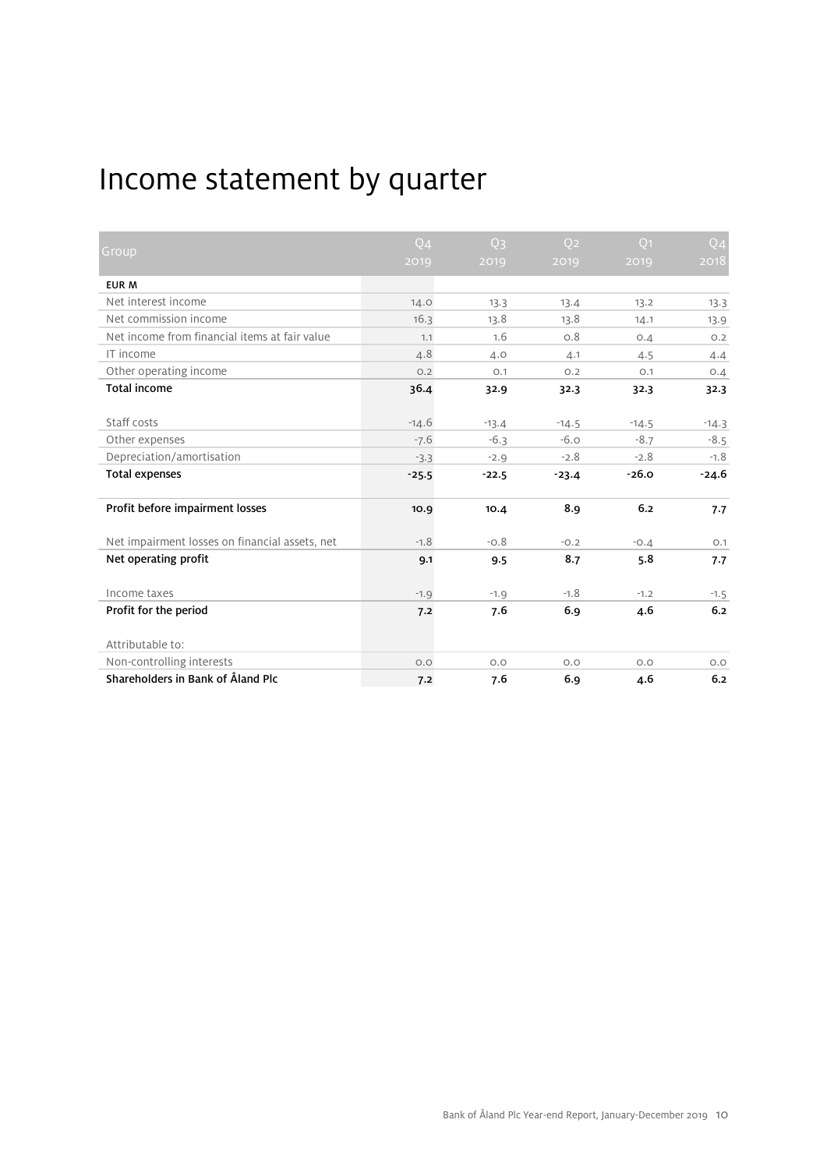# Income statement by quarter

|                                                | Q <sub>4</sub> | Q <sub>3</sub> | O <sub>2</sub> | Q <sub>1</sub> | Q <sub>4</sub> |
|------------------------------------------------|----------------|----------------|----------------|----------------|----------------|
| Group                                          | 2019           | 2019           | 2019           | 2019           | 2018           |
| <b>EUR M</b>                                   |                |                |                |                |                |
| Net interest income                            | 14.0           | 13.3           | 13.4           | 13.2           | 13.3           |
| Net commission income                          | 16.3           | 13.8           | 13.8           | 14.1           | 13.9           |
| Net income from financial items at fair value  | 1.1            | 1.6            | 0.8            | O.4            | O.2            |
| IT income                                      | 4.8            | 4.0            | 4.1            | 4.5            | 4.4            |
| Other operating income                         | O.2            | O.1            | O.2            | O.1            | 0.4            |
| <b>Total income</b>                            | 36.4           | 32.9           | 32.3           | 32.3           | 32.3           |
|                                                |                |                |                |                |                |
| Staff costs                                    | $-14.6$        | $-13.4$        | $-14.5$        | $-14.5$        | $-14.3$        |
| Other expenses                                 | $-7.6$         | $-6.3$         | $-6.0$         | $-8.7$         | $-8.5$         |
| Depreciation/amortisation                      | $-3.3$         | $-2.9$         | $-2.8$         | $-2.8$         | $-1.8$         |
| <b>Total expenses</b>                          | $-25.5$        | $-22.5$        | $-23.4$        | $-26.0$        | $-24.6$        |
| Profit before impairment losses                | 10.9           | 10.4           | 8.9            | 6.2            | 7.7            |
| Net impairment losses on financial assets, net | $-1.8$         | $-0.8$         | $-0.2$         | $-0.4$         | O.1            |
| Net operating profit                           | 9.1            | 9.5            | 8.7            | 5.8            | 7.7            |
| Income taxes                                   | $-1.9$         | $-1.9$         | $-1.8$         | $-1.2$         | $-1.5$         |
| Profit for the period                          | 7.2            | 7.6            | 6.9            | 4.6            | 6.2            |
| Attributable to:                               |                |                |                |                |                |
| Non-controlling interests                      | O.O            | O.O            | O.O            | O.O            | O.O            |
| Shareholders in Bank of Åland Plc              | 7.2            | 7.6            | 6.9            | 4.6            | 6.2            |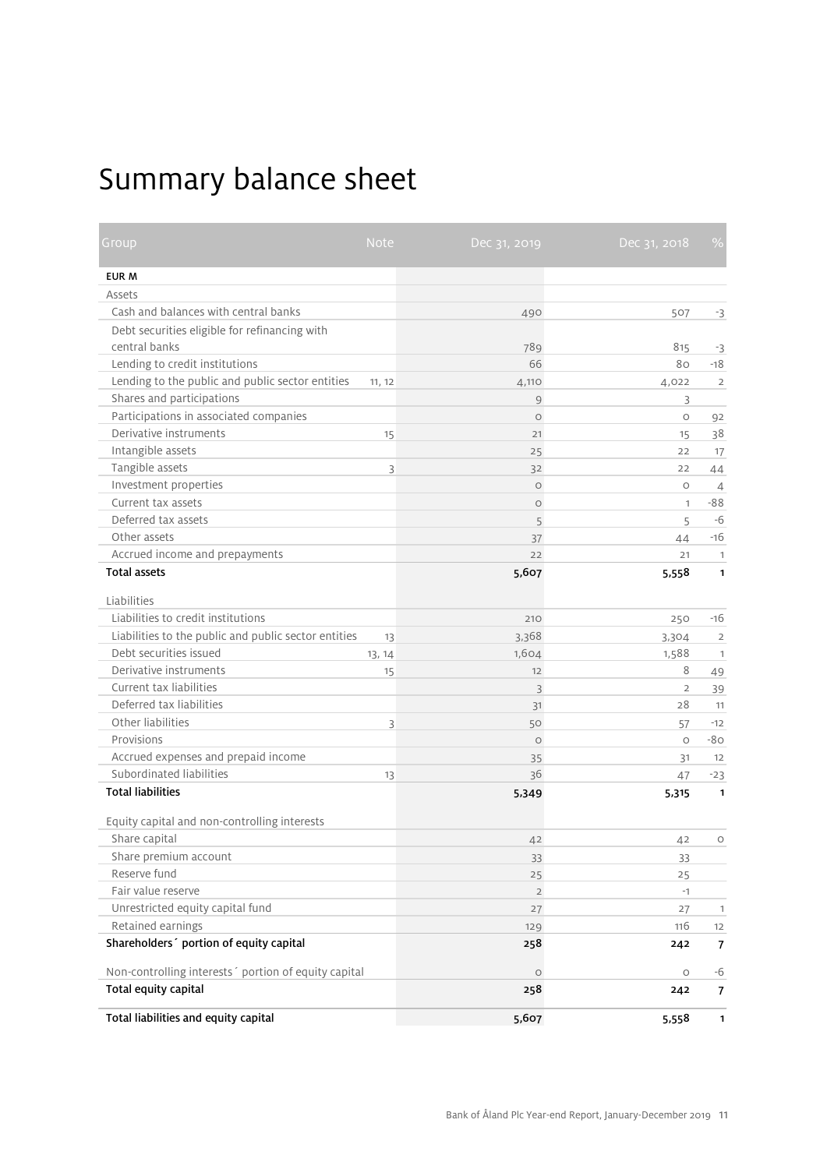# Summary balance sheet

| Group                                                 | <b>Note</b> | Dec 31, 2019   | Dec 31, 2018   | $\frac{9}{6}$  |
|-------------------------------------------------------|-------------|----------------|----------------|----------------|
| EUR M                                                 |             |                |                |                |
| Assets                                                |             |                |                |                |
| Cash and balances with central banks                  |             | 490            | 507            | $-3$           |
| Debt securities eligible for refinancing with         |             |                |                |                |
| central banks                                         |             | 789            | 815            | -3             |
| Lending to credit institutions                        |             | 66             | 80             | $-18$          |
| Lending to the public and public sector entities      | 11, 12      | 4,110          | 4,022          | $\overline{2}$ |
| Shares and participations                             |             | $\mathcal{G}$  | 3              |                |
| Participations in associated companies                |             | $\circ$        | $\circ$        | 92             |
| Derivative instruments                                | 15          | 21             | 15             | 38             |
| Intangible assets                                     |             | 25             | 22             | 17             |
| Tangible assets                                       | 3           | 32             | 22             | 44             |
| Investment properties                                 |             | $\circ$        | $\circ$        | $\overline{4}$ |
| Current tax assets                                    |             | $\circ$        | $\mathbf{1}$   | $-88$          |
| Deferred tax assets                                   |             | 5              | 5              | -6             |
| Other assets                                          |             | 37             | 44             | $-16$          |
| Accrued income and prepayments                        |             | 22             | 21             | $\mathbf{1}$   |
| <b>Total assets</b>                                   |             | 5,607          | 5,558          | $\mathbf{1}$   |
| Liabilities                                           |             |                |                |                |
| Liabilities to credit institutions                    |             | 210            | 250            | $-16$          |
| Liabilities to the public and public sector entities  | 13          | 3,368          | 3,304          | $\overline{2}$ |
| Debt securities issued                                | 13, 14      | 1,604          | 1,588          | $\mathbf{1}$   |
| Derivative instruments                                | 15          | 12             | 8              | 49             |
| Current tax liabilities                               |             | 3              | $\overline{2}$ | 39             |
| Deferred tax liabilities                              |             | 31             | 28             | 11             |
| Other liabilities                                     | 3           | 50             | 57             | $-12$          |
| Provisions                                            |             | $\circ$        | $\circ$        | $-80$          |
| Accrued expenses and prepaid income                   |             | 35             | 31             | 12             |
| Subordinated liabilities                              | 13          | 36             | 47             | $-23$          |
| <b>Total liabilities</b>                              |             | 5,349          | 5,315          | $\mathbf{1}$   |
| Equity capital and non-controlling interests          |             |                |                |                |
| Share capital                                         |             | 42             | 42             | $\circ$        |
| Share premium account                                 |             | 33             | 33             |                |
| Reserve fund                                          |             | 25             | 25             |                |
| Fair value reserve                                    |             | $\overline{2}$ | $-1$           |                |
| Unrestricted equity capital fund                      |             | 27             | 27             | $\mathbf{1}$   |
| Retained earnings                                     |             | 129            | 116            | 12             |
| Shareholders' portion of equity capital               |             | 258            | 242            | $\overline{7}$ |
| Non-controlling interests ' portion of equity capital |             | $\circ$        | $\circ$        | -6             |
| Total equity capital                                  |             | 258            | 242            | $\overline{7}$ |
| Total liabilities and equity capital                  |             | 5,607          | 5,558          | $\mathbf{1}$   |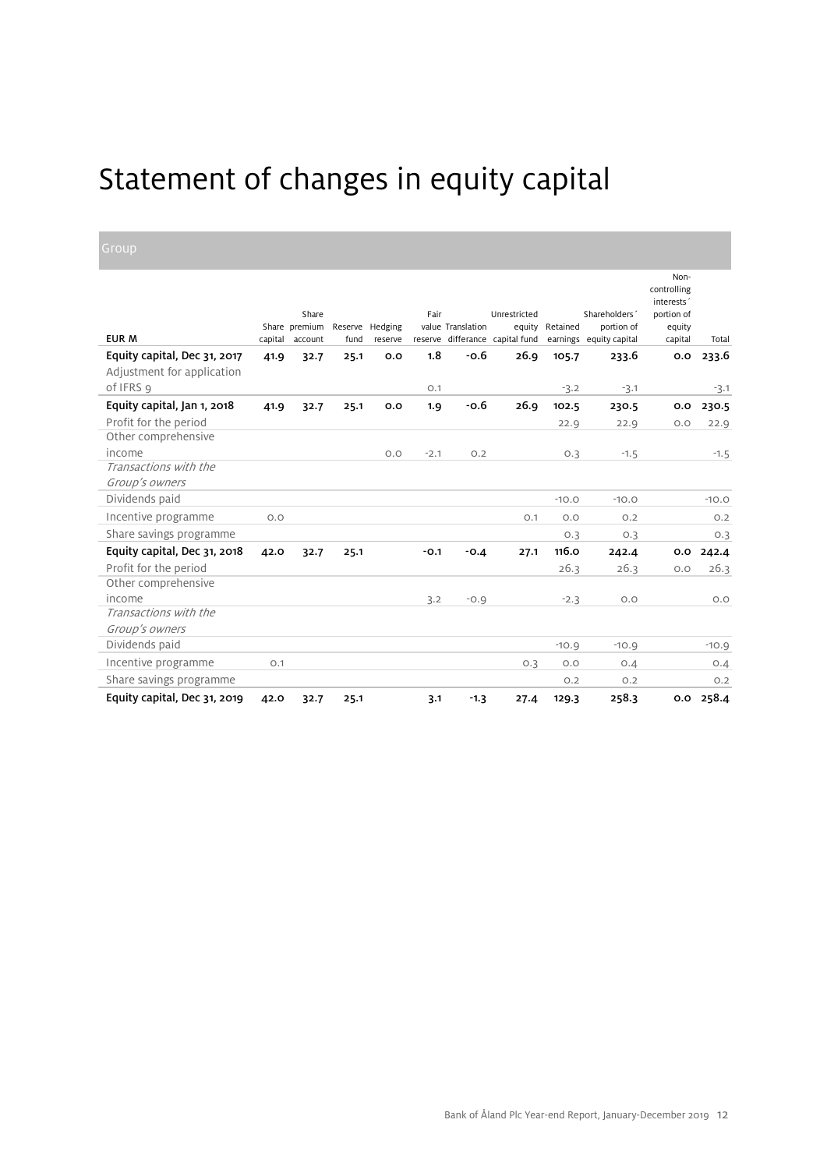# Statement of changes in equity capital

| <b>EUR M</b>                                               | capital | Share<br>Share premium<br>account | fund | Reserve Hedging<br>reserve | Fair   | value Translation | Unrestricted<br>equity<br>reserve differance capital fund | Retained | Shareholders'<br>portion of<br>earnings equity capital | Non-<br>controlling<br>interests'<br>portion of<br>equity<br>capital | Total   |
|------------------------------------------------------------|---------|-----------------------------------|------|----------------------------|--------|-------------------|-----------------------------------------------------------|----------|--------------------------------------------------------|----------------------------------------------------------------------|---------|
| Equity capital, Dec 31, 2017<br>Adjustment for application | 41.9    | 32.7                              | 25.1 | 0.0                        | 1.8    | $-0.6$            | 26.9                                                      | 105.7    | 233.6                                                  | 0.0                                                                  | 233.6   |
| of IFRS 9                                                  |         |                                   |      |                            | O.1    |                   |                                                           | $-3.2$   | $-3.1$                                                 |                                                                      | $-3.1$  |
| Equity capital, Jan 1, 2018                                | 41.9    | 32.7                              | 25.1 | 0.0                        | 1.9    | $-0.6$            | 26.9                                                      | 102.5    | 230.5                                                  | 0.0                                                                  | 230.5   |
| Profit for the period                                      |         |                                   |      |                            |        |                   |                                                           | 22.9     | 22.9                                                   | O.O                                                                  | 22.9    |
| Other comprehensive                                        |         |                                   |      |                            |        |                   |                                                           |          |                                                        |                                                                      |         |
| income                                                     |         |                                   |      | O.O                        | $-2.1$ | O.2               |                                                           | 0.3      | $-1.5$                                                 |                                                                      | $-1.5$  |
| Transactions with the                                      |         |                                   |      |                            |        |                   |                                                           |          |                                                        |                                                                      |         |
| Group's owners                                             |         |                                   |      |                            |        |                   |                                                           |          |                                                        |                                                                      |         |
| Dividends paid                                             |         |                                   |      |                            |        |                   |                                                           | $-10.0$  | $-10.0$                                                |                                                                      | $-10.0$ |
| Incentive programme                                        | O.O     |                                   |      |                            |        |                   | O.1                                                       | O.O      | O.2                                                    |                                                                      | O.2     |
| Share savings programme                                    |         |                                   |      |                            |        |                   |                                                           | 0.3      | O.3                                                    |                                                                      | O.3     |
| Equity capital, Dec 31, 2018                               | 42.0    | 32.7                              | 25.1 |                            | $-0.1$ | $-0.4$            | 27.1                                                      | 116.0    | 242.4                                                  | 0.0                                                                  | 242.4   |
| Profit for the period                                      |         |                                   |      |                            |        |                   |                                                           | 26.3     | 26.3                                                   | O.O                                                                  | 26.3    |
| Other comprehensive                                        |         |                                   |      |                            |        |                   |                                                           |          |                                                        |                                                                      |         |
| income                                                     |         |                                   |      |                            | 3.2    | $-0.9$            |                                                           | $-2.3$   | O.O                                                    |                                                                      | O.O     |
| Transactions with the                                      |         |                                   |      |                            |        |                   |                                                           |          |                                                        |                                                                      |         |
| Group's owners                                             |         |                                   |      |                            |        |                   |                                                           |          |                                                        |                                                                      |         |
| Dividends paid                                             |         |                                   |      |                            |        |                   |                                                           | $-10.9$  | $-10.9$                                                |                                                                      | $-10.9$ |
| Incentive programme                                        | O.1     |                                   |      |                            |        |                   | O.3                                                       | O.O      | O.A                                                    |                                                                      | O.A     |
| Share savings programme                                    |         |                                   |      |                            |        |                   |                                                           | O.2      | O.2                                                    |                                                                      | O.2     |
| Equity capital, Dec 31, 2019                               | 42.0    | 32.7                              | 25.1 |                            | 3.1    | $-1.3$            | 27.4                                                      | 129.3    | 258.3                                                  | 0.0                                                                  | 258.4   |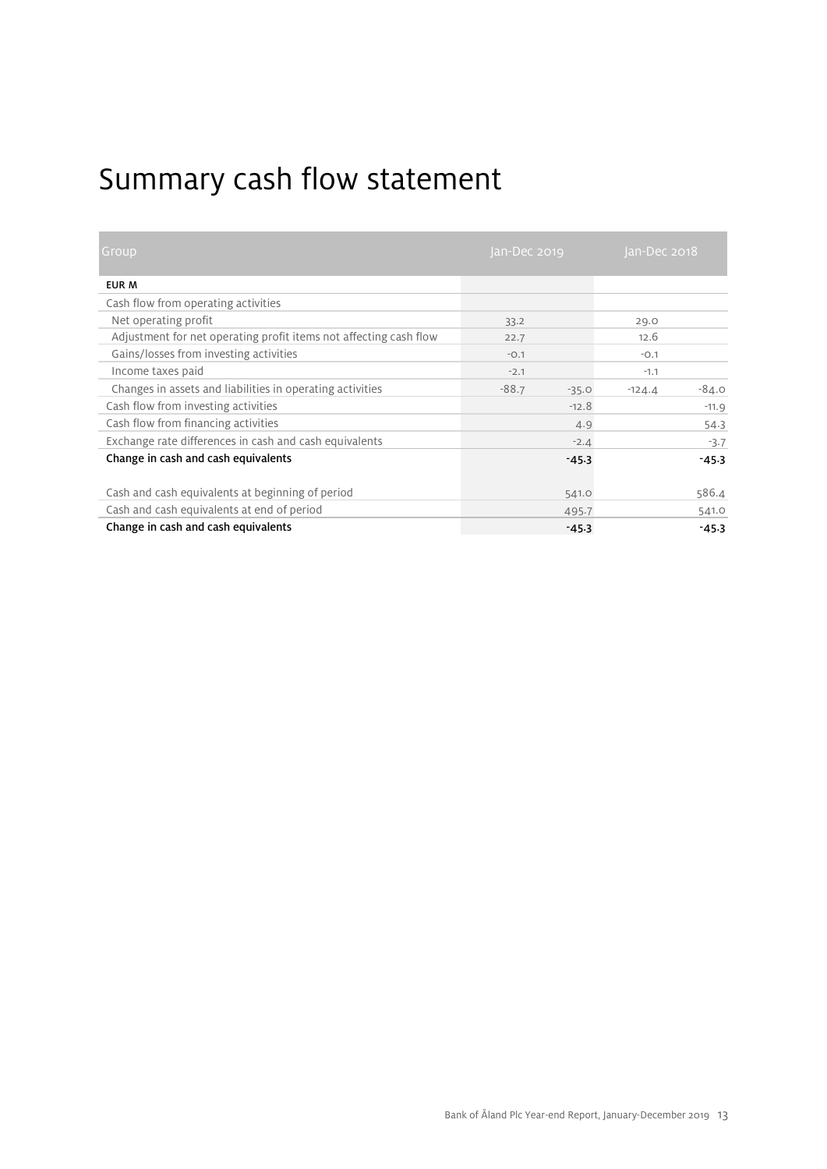# Summary cash flow statement

| Group                                                             | an-Dec 2019        | Jan-Dec 2018        |
|-------------------------------------------------------------------|--------------------|---------------------|
| EUR M                                                             |                    |                     |
| Cash flow from operating activities                               |                    |                     |
| Net operating profit                                              | 33.2               | 29.0                |
| Adjustment for net operating profit items not affecting cash flow | 22.7               | 12.6                |
| Gains/losses from investing activities                            | $-0.1$             | $-0.1$              |
| Income taxes paid                                                 | $-2.1$             | $-1.1$              |
| Changes in assets and liabilities in operating activities         | $-88.7$<br>$-35.0$ | $-84.0$<br>$-124.4$ |
| Cash flow from investing activities                               | $-12.8$            | $-11.9$             |
| Cash flow from financing activities                               | 4.9                | 54.3                |
| Exchange rate differences in cash and cash equivalents            | $-2.4$             | $-3.7$              |
| Change in cash and cash equivalents                               | $-45.3$            | $-45.3$             |
| Cash and cash equivalents at beginning of period                  | 541.0              | 586.4               |
| Cash and cash equivalents at end of period                        | 495.7              | 541.0               |
| Change in cash and cash equivalents                               | $-45.3$            | $-45.3$             |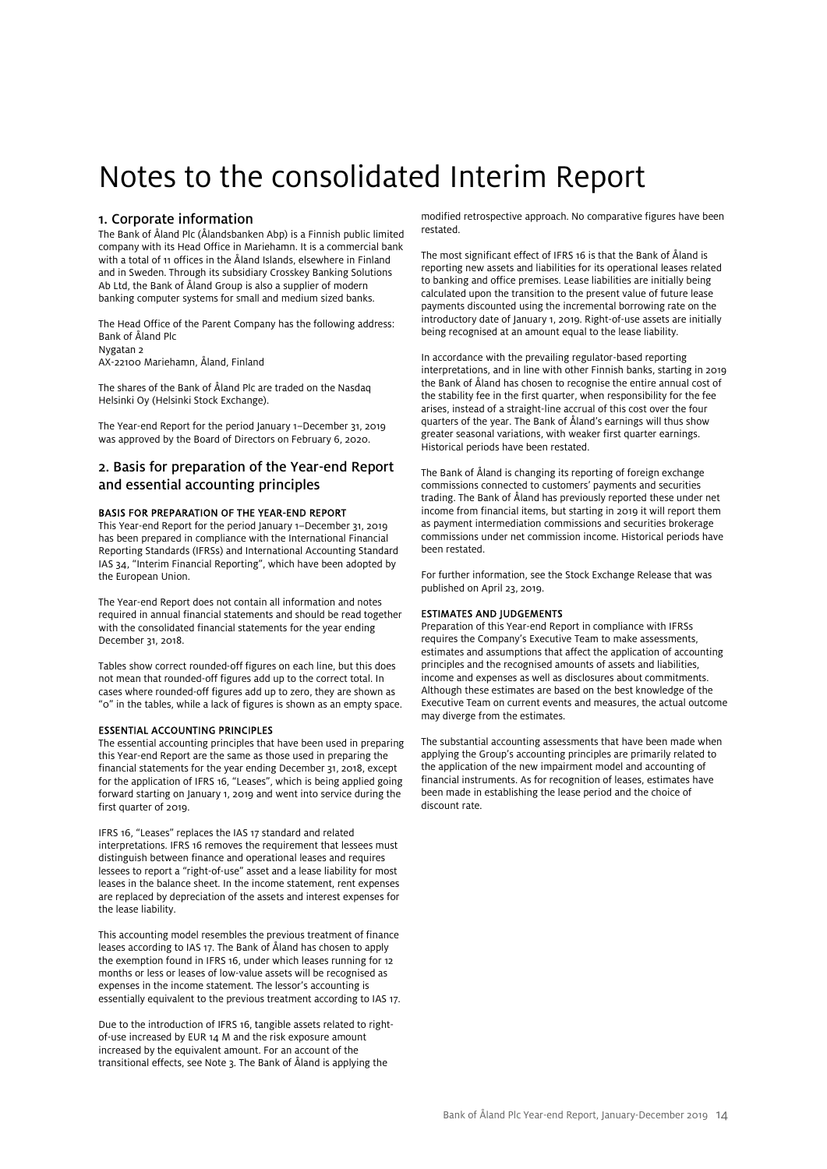# Notes to the consolidated Interim Report

### 1. Corporate information

The Bank of Åland Plc (Ålandsbanken Abp) is a Finnish public limited company with its Head Office in Mariehamn. It is a commercial bank with a total of 11 offices in the Åland Islands, elsewhere in Finland and in Sweden. Through its subsidiary Crosskey Banking Solutions Ab Ltd, the Bank of Åland Group is also a supplier of modern banking computer systems for small and medium sized banks.

The Head Office of the Parent Company has the following address: Bank of Åland Plc Nygatan 2 AX-22100 Mariehamn, Åland, Finland

The shares of the Bank of Åland Plc are traded on the Nasdaq Helsinki Oy (Helsinki Stock Exchange).

The Year-end Report for the period January 1–December 31, 2019 was approved by the Board of Directors on February 6, 2020.

### 2. Basis for preparation of the Year-end Report and essential accounting principles

### BASIS FOR PREPARATION OF THE YEAR-END REPORT

This Year-end Report for the period January 1–December 31, 2019 has been prepared in compliance with the International Financial Reporting Standards (IFRSs) and International Accounting Standard IAS 34, "Interim Financial Reporting", which have been adopted by the European Union.

The Year-end Report does not contain all information and notes required in annual financial statements and should be read together with the consolidated financial statements for the year ending December 31, 2018.

Tables show correct rounded-off figures on each line, but this does not mean that rounded-off figures add up to the correct total. In cases where rounded-off figures add up to zero, they are shown as "0" in the tables, while a lack of figures is shown as an empty space.

### ESSENTIAL ACCOUNTING PRINCIPLES

The essential accounting principles that have been used in preparing this Year-end Report are the same as those used in preparing the financial statements for the year ending December 31, 2018, except for the application of IFRS 16, "Leases", which is being applied going forward starting on January 1, 2019 and went into service during the first quarter of 2019.

IFRS 16, "Leases" replaces the IAS 17 standard and related interpretations. IFRS 16 removes the requirement that lessees must distinguish between finance and operational leases and requires lessees to report a "right-of-use" asset and a lease liability for most leases in the balance sheet. In the income statement, rent expenses are replaced by depreciation of the assets and interest expenses for the lease liability.

This accounting model resembles the previous treatment of finance leases according to IAS 17. The Bank of Åland has chosen to apply the exemption found in IFRS 16, under which leases running for 12 months or less or leases of low-value assets will be recognised as expenses in the income statement. The lessor's accounting is essentially equivalent to the previous treatment according to IAS 17.

Due to the introduction of IFRS 16, tangible assets related to rightof-use increased by EUR 14 M and the risk exposure amount increased by the equivalent amount. For an account of the transitional effects, see Note 3. The Bank of Åland is applying the

modified retrospective approach. No comparative figures have been restated.

The most significant effect of IFRS 16 is that the Bank of Åland is reporting new assets and liabilities for its operational leases related to banking and office premises. Lease liabilities are initially being calculated upon the transition to the present value of future lease payments discounted using the incremental borrowing rate on the introductory date of January 1, 2019. Right-of-use assets are initially being recognised at an amount equal to the lease liability.

In accordance with the prevailing regulator-based reporting interpretations, and in line with other Finnish banks, starting in 2019 the Bank of Åland has chosen to recognise the entire annual cost of the stability fee in the first quarter, when responsibility for the fee arises, instead of a straight-line accrual of this cost over the four quarters of the year. The Bank of Åland's earnings will thus show greater seasonal variations, with weaker first quarter earnings. Historical periods have been restated.

The Bank of Åland is changing its reporting of foreign exchange commissions connected to customers' payments and securities trading. The Bank of Åland has previously reported these under net income from financial items, but starting in 2019 it will report them as payment intermediation commissions and securities brokerage commissions under net commission income. Historical periods have been restated.

For further information, see the Stock Exchange Release that was published on April 23, 2019.

### ESTIMATES AND JUDGEMENTS

Preparation of this Year-end Report in compliance with IFRSs requires the Company's Executive Team to make assessments, estimates and assumptions that affect the application of accounting principles and the recognised amounts of assets and liabilities, income and expenses as well as disclosures about commitments. Although these estimates are based on the best knowledge of the Executive Team on current events and measures, the actual outcome may diverge from the estimates.

The substantial accounting assessments that have been made when applying the Group's accounting principles are primarily related to the application of the new impairment model and accounting of financial instruments. As for recognition of leases, estimates have been made in establishing the lease period and the choice of discount rate.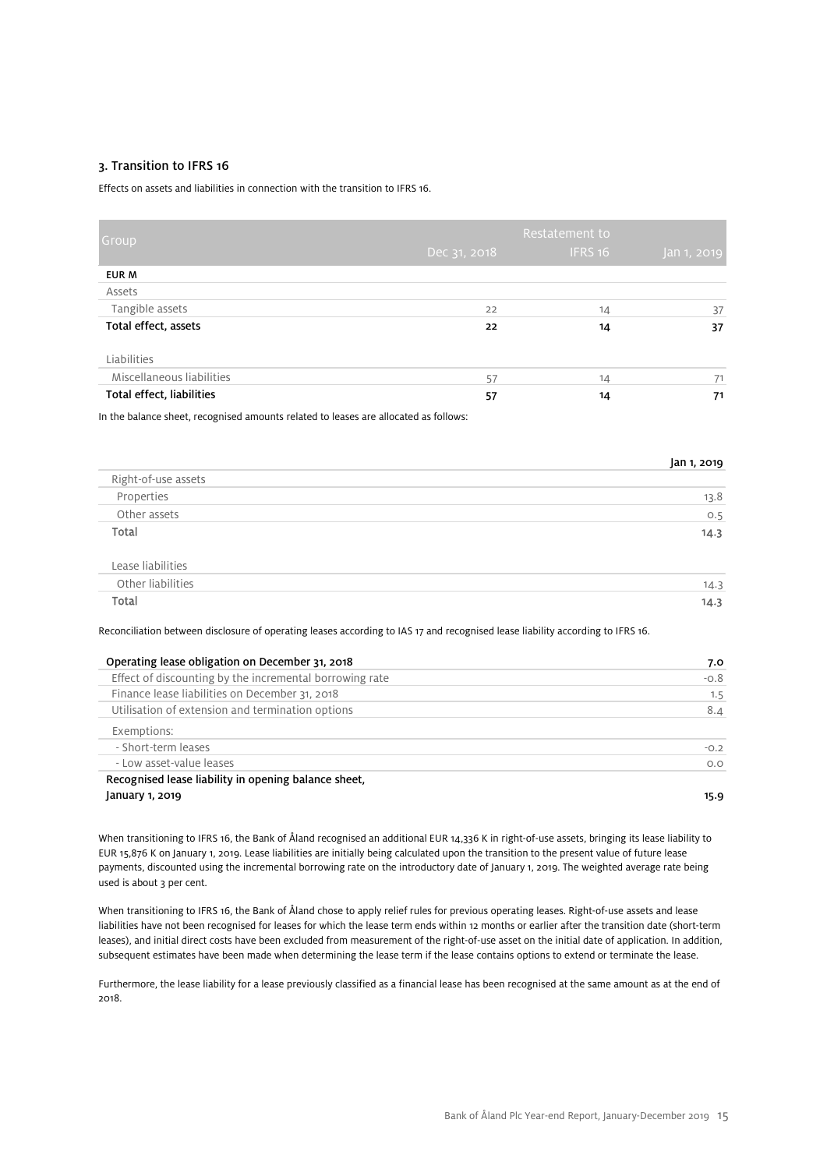### 3. Transition to IFRS 16

Effects on assets and liabilities in connection with the transition to IFRS 16.

| Group                     | Dec 31, 2018 | Restatement to<br>IFRS 16 | Jan 1, 2019 |
|---------------------------|--------------|---------------------------|-------------|
| EUR M                     |              |                           |             |
| Assets                    |              |                           |             |
| Tangible assets           | 22           | 14                        | 37          |
| Total effect, assets      | 22           | 14                        | 37          |
| Liabilities               |              |                           |             |
| Miscellaneous liabilities | 57           | 14                        | 71          |
| Total effect, liabilities | 57           | 14                        | 71          |

In the balance sheet, recognised amounts related to leases are allocated as follows:

|                     | Jan 1, 2019 |
|---------------------|-------------|
| Right-of-use assets |             |
| Properties          | 13.8        |
| Other assets        | O.5         |
| Total               | 14.3        |
|                     |             |
| Lease liabilities   |             |
| Other liabilities   | 14.3        |

Total 14.3

Reconciliation between disclosure of operating leases according to IAS 17 and recognised lease liability according to IFRS 16.

| Operating lease obligation on December 31, 2018         | 7.0    |
|---------------------------------------------------------|--------|
| Effect of discounting by the incremental borrowing rate | $-0.8$ |
| Finance lease liabilities on December 31, 2018          | 1.5    |
| Utilisation of extension and termination options        | 8.4    |
| Exemptions:                                             |        |
| - Short-term leases                                     | $-0.2$ |
| - Low asset-value leases                                | O.O    |
| Recognised lease liability in opening balance sheet,    |        |
| January 1, 2019                                         | 15.9   |

When transitioning to IFRS 16, the Bank of Åland recognised an additional EUR 14,336 K in right-of-use assets, bringing its lease liability to EUR 15,876 K on January 1, 2019. Lease liabilities are initially being calculated upon the transition to the present value of future lease payments, discounted using the incremental borrowing rate on the introductory date of January 1, 2019. The weighted average rate being used is about 3 per cent.

When transitioning to IFRS 16, the Bank of Åland chose to apply relief rules for previous operating leases. Right-of-use assets and lease liabilities have not been recognised for leases for which the lease term ends within 12 months or earlier after the transition date (short-term leases), and initial direct costs have been excluded from measurement of the right-of-use asset on the initial date of application. In addition, subsequent estimates have been made when determining the lease term if the lease contains options to extend or terminate the lease.

Furthermore, the lease liability for a lease previously classified as a financial lease has been recognised at the same amount as at the end of 2018.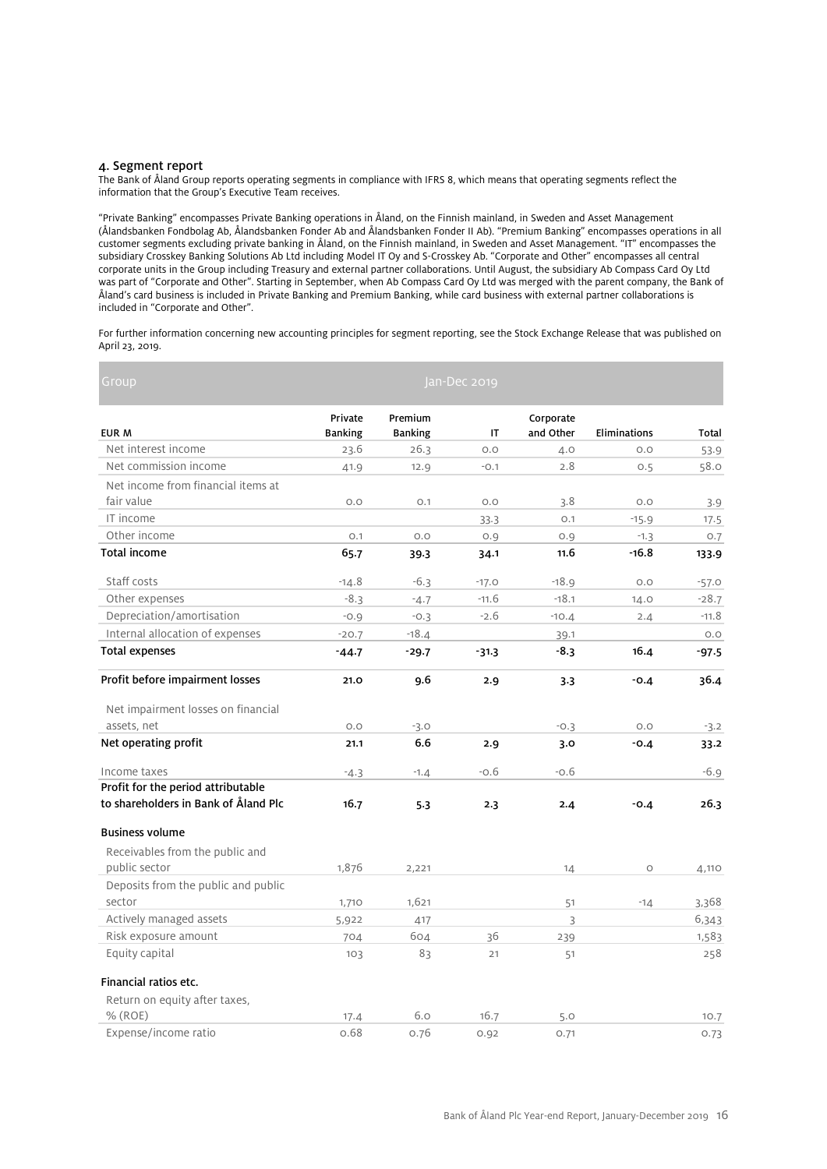### 4. Segment report

The Bank of Åland Group reports operating segments in compliance with IFRS 8, which means that operating segments reflect the information that the Group's Executive Team receives.

"Private Banking" encompasses Private Banking operations in Åland, on the Finnish mainland, in Sweden and Asset Management (Ålandsbanken Fondbolag Ab, Ålandsbanken Fonder Ab and Ålandsbanken Fonder II Ab). "Premium Banking" encompasses operations in all customer segments excluding private banking in Åland, on the Finnish mainland, in Sweden and Asset Management. "IT" encompasses the subsidiary Crosskey Banking Solutions Ab Ltd including Model IT Oy and S-Crosskey Ab. "Corporate and Other" encompasses all central corporate units in the Group including Treasury and external partner collaborations. Until August, the subsidiary Ab Compass Card Oy Ltd was part of "Corporate and Other". Starting in September, when Ab Compass Card Oy Ltd was merged with the parent company, the Bank of Åland's card business is included in Private Banking and Premium Banking, while card business with external partner collaborations is included in "Corporate and Other".

For further information concerning new accounting principles for segment reporting, see the Stock Exchange Release that was published on April 23, 2019.

| Group                                |                |                | Jan-Dec 2019 |           |              |              |
|--------------------------------------|----------------|----------------|--------------|-----------|--------------|--------------|
|                                      | Private        | Premium        |              | Corporate |              |              |
| EUR M                                | <b>Banking</b> | <b>Banking</b> | IT           | and Other | Eliminations | <b>Total</b> |
| Net interest income                  | 23.6           | 26.3           | O.O          | 4.0       | O.O          | 53.9         |
| Net commission income                | 41.9           | 12.9           | $-0.1$       | 2.8       | O.5          | 58.0         |
| Net income from financial items at   |                |                |              |           |              |              |
| fair value                           | O.O            | O.1            | O.O          | 3.8       | O.O          | 3.9          |
| IT income                            |                |                | 33.3         | O.1       | $-15.9$      | 17.5         |
| Other income                         | O.1            | O.O            | 0.9          | O.9       | $-1.3$       | 0.7          |
| <b>Total income</b>                  | 65.7           | 39.3           | 34.1         | 11.6      | $-16.8$      | 133.9        |
| Staff costs                          | $-14.8$        | $-6.3$         | $-17.0$      | $-18.9$   | O.O          | $-57.0$      |
| Other expenses                       | $-8.3$         | $-4.7$         | $-11.6$      | $-18.1$   | 14.0         | $-28.7$      |
| Depreciation/amortisation            | $-0.9$         | $-0.3$         | $-2.6$       | $-10.4$   | 2.4          | $-11.8$      |
| Internal allocation of expenses      | $-20.7$        | $-18.4$        |              | 39.1      |              | O.O          |
| <b>Total expenses</b>                | $-44.7$        | $-29.7$        | $-31.3$      | -8.3      | 16.4         | $-97.5$      |
| Profit before impairment losses      | 21.0           | 9.6            | 2.9          | 3.3       | $-0.4$       | 36.4         |
| Net impairment losses on financial   |                |                |              |           |              |              |
| assets, net                          | O.O            | $-3.0$         |              | $-0.3$    | O.O          | $-3.2$       |
| Net operating profit                 | 21.1           | 6.6            | 2.9          | 3.0       | $-0.4$       | 33.2         |
| Income taxes                         | $-4.3$         | $-1.4$         | $-0.6$       | $-0.6$    |              | $-6.9$       |
| Profit for the period attributable   |                |                |              |           |              |              |
| to shareholders in Bank of Åland Plc | 16.7           | 5.3            | 2.3          | 2.4       | $-0.4$       | 26.3         |
| <b>Business volume</b>               |                |                |              |           |              |              |
| Receivables from the public and      |                |                |              |           |              |              |
| public sector                        | 1,876          | 2,221          |              | 14        | $\circ$      | 4,110        |
| Deposits from the public and public  |                |                |              |           |              |              |
| sector                               | 1,710          | 1,621          |              | 51        | $-14$        | 3,368        |
| Actively managed assets              | 5,922          | 417            |              | 3         |              | 6,343        |
| Risk exposure amount                 | 704            | 604            | 36           | 239       |              | 1,583        |
| Equity capital                       | 103            | 83             | 21           | 51        |              | 258          |
| Financial ratios etc.                |                |                |              |           |              |              |
| Return on equity after taxes,        |                |                |              |           |              |              |
| $%$ (ROE)                            | 17.4           | 6.0            | 16.7         | 5.0       |              | 10.7         |
| Expense/income ratio                 | 0.68           | 0.76           | 0.92         | 0.71      |              | 0.73         |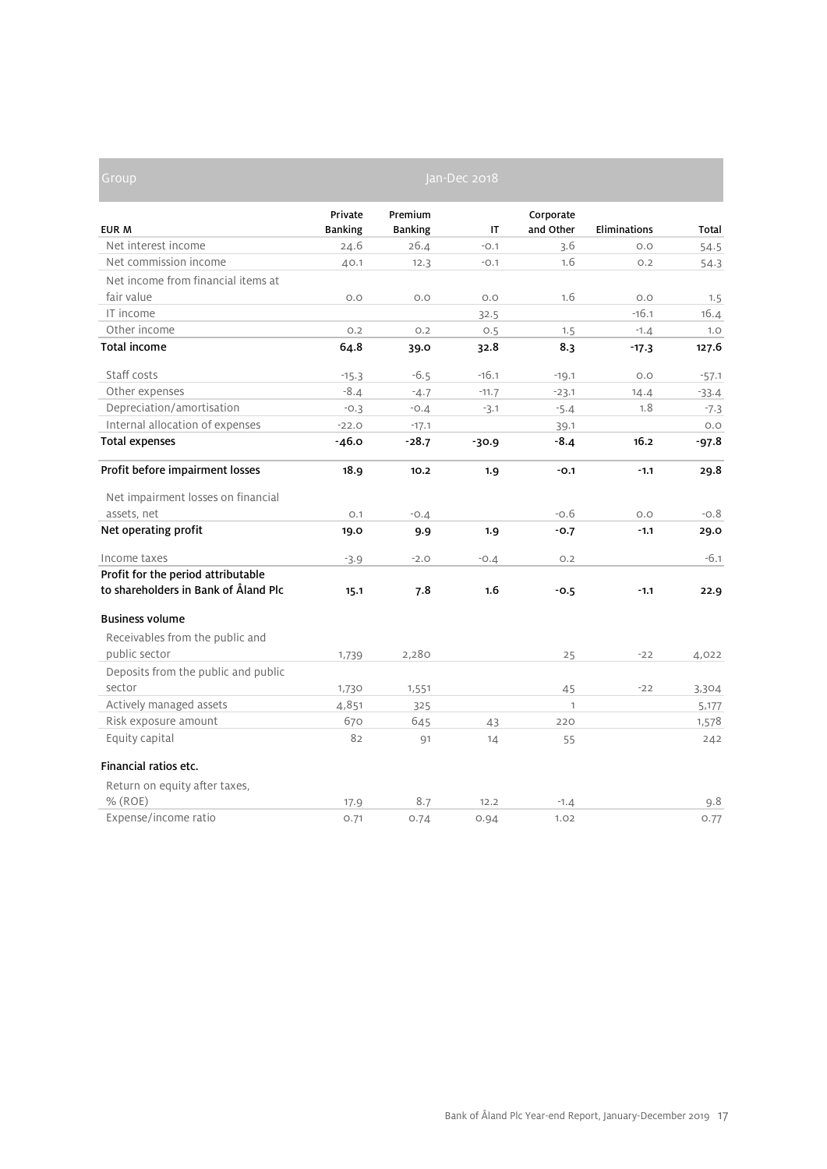| Group                                |                |                | Jan-Dec 2018 |              |                     |         |
|--------------------------------------|----------------|----------------|--------------|--------------|---------------------|---------|
|                                      | Private        | Premium        |              | Corporate    |                     |         |
| <b>EUR M</b>                         | <b>Banking</b> | <b>Banking</b> | IT           | and Other    | <b>Eliminations</b> | Total   |
| Net interest income                  | 24.6           | 26.4           | $-0.1$       | 3.6          | O.O                 | 54.5    |
| Net commission income                | 40.1           | 12.3           | $-0.1$       | 1.6          | O.2                 | 54.3    |
| Net income from financial items at   |                |                |              |              |                     |         |
| fair value                           | O.O            | O.O            | O.O          | 1.6          | O.O                 | 1.5     |
| IT income                            |                |                | 32.5         |              | $-16.1$             | 16.4    |
| Other income                         | 0.2            | O.2            | O.5          | 1.5          | $-1.4$              | 1.0     |
| <b>Total income</b>                  | 64.8           | 39.0           | 32.8         | 8.3          | $-17.3$             | 127.6   |
| Staff costs                          | $-15.3$        | $-6.5$         | $-16.1$      | $-19.1$      | O.O                 | $-57.1$ |
| Other expenses                       | $-8.4$         | $-4.7$         | $-11.7$      | $-23.1$      | 14.4                | $-33.4$ |
| Depreciation/amortisation            | $-0.3$         | $-0.4$         | $-3.1$       | $-5.4$       | 1.8                 | $-7.3$  |
| Internal allocation of expenses      | $-22.0$        | $-17.1$        |              | 39.1         |                     | O.O     |
| <b>Total expenses</b>                | $-46.0$        | $-28.7$        | $-30.9$      | $-8.4$       | 16.2                | -97.8   |
| Profit before impairment losses      | 18.9           | 10.2           | 1.9          | $-0.1$       | $-1.1$              | 29.8    |
| Net impairment losses on financial   |                |                |              |              |                     |         |
| assets, net                          | O.1            | $-0.4$         |              | $-0.6$       | O.O                 | $-0.8$  |
| Net operating profit                 | 19.0           | 9.9            | 1.9          | $-0.7$       | $-1.1$              | 29.0    |
| Income taxes                         | $-3.9$         | $-2.0$         | $-0.4$       | O.2          |                     | $-6.1$  |
| Profit for the period attributable   |                |                |              |              |                     |         |
| to shareholders in Bank of Åland Plc | 15.1           | 7.8            | 1.6          | $-0.5$       | $-1.1$              | 22.9    |
| <b>Business volume</b>               |                |                |              |              |                     |         |
| Receivables from the public and      |                |                |              |              |                     |         |
| public sector                        | 1,739          | 2,280          |              | 25           | $-22$               | 4,022   |
| Deposits from the public and public  |                |                |              |              |                     |         |
| sector                               | 1,730          | 1,551          |              | 45           | $-22$               | 3,304   |
| Actively managed assets              | 4,851          | 325            |              | $\mathbf{1}$ |                     | 5,177   |
| Risk exposure amount                 | 670            | 645            | 43           | 220          |                     | 1,578   |
| Equity capital                       | 82             | 91             | 14           | 55           |                     | 242     |
| Financial ratios etc.                |                |                |              |              |                     |         |
| Return on equity after taxes,        |                |                |              |              |                     |         |
| $%$ (ROE)                            | 17.9           | 8.7            | 12.2         | $-1.4$       |                     | 9.8     |
| Expense/income ratio                 | 0.71           | 0.74           | 0.94         | 1.02         |                     | 0.77    |

D

and the control of the control of the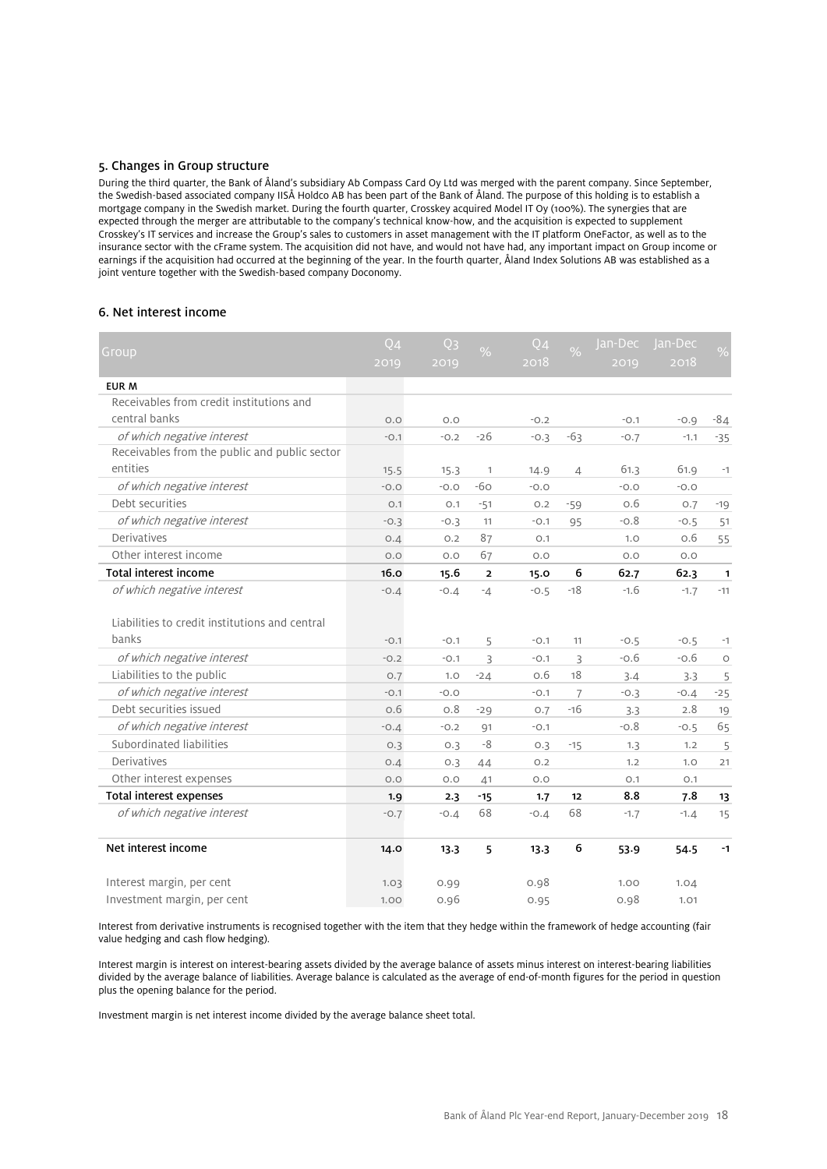### 5. Changes in Group structure

During the third quarter, the Bank of Åland's subsidiary Ab Compass Card Oy Ltd was merged with the parent company. Since September, the Swedish-based associated company IISÅ Holdco AB has been part of the Bank of Åland. The purpose of this holding is to establish a mortgage company in the Swedish market. During the fourth quarter, Crosskey acquired Model IT Oy (100%). The synergies that are expected through the merger are attributable to the company's technical know-how, and the acquisition is expected to supplement Crosskey's IT services and increase the Group's sales to customers in asset management with the IT platform OneFactor, as well as to the insurance sector with the cFrame system. The acquisition did not have, and would not have had, any important impact on Group income or earnings if the acquisition had occurred at the beginning of the year. In the fourth quarter, Åland Index Solutions AB was established as a joint venture together with the Swedish-based company Doconomy.

### 6. Net interest income

| Group                                          | $Q_4$  | Q <sub>3</sub> | $\frac{0}{0}$  | $Q_4$  | $\frac{0}{0}$  | lan-Dec | Jan-Dec | $\frac{1}{2}$ |
|------------------------------------------------|--------|----------------|----------------|--------|----------------|---------|---------|---------------|
|                                                | 2019   | 2019           |                | 2018   |                | 2019    | 2018    |               |
| <b>EUR M</b>                                   |        |                |                |        |                |         |         |               |
| Receivables from credit institutions and       |        |                |                |        |                |         |         |               |
| central banks                                  | O.O    | O.O            |                | $-0.2$ |                | $-0.1$  | $-0.9$  | $-84$         |
| of which negative interest                     | $-0.1$ | $-0.2$         | $-26$          | $-0.3$ | $-63$          | $-0.7$  | $-1.1$  | $-35$         |
| Receivables from the public and public sector  |        |                |                |        |                |         |         |               |
| entities                                       | 15.5   | 15.3           | 1              | 14.9   | $\overline{4}$ | 61.3    | 61.9    | $-1$          |
| of which negative interest                     | $-0.0$ | $-0.0$         | $-60$          | $-0.0$ |                | $-0.0$  | $-0.0$  |               |
| Debt securities                                | O.1    | O.1            | $-51$          | O.2    | $-59$          | о.6     | O.7     | $-19$         |
| of which negative interest                     | $-0.3$ | $-0.3$         | 11             | $-0.1$ | 95             | $-0.8$  | $-0.5$  | 51            |
| Derivatives                                    | 0.4    | O.2            | 87             | O.1    |                | 1.0     | 0.6     | 55            |
| Other interest income                          | O.O    | O.O            | 67             | O.O    |                | O.O     | O.O     |               |
| <b>Total interest income</b>                   | 16.0   | 15.6           | $\overline{2}$ | 15.0   | 6              | 62.7    | 62.3    | $\mathbf{1}$  |
| of which negative interest                     | $-0.4$ | $-0.4$         | $-4$           | $-0.5$ | $-18$          | $-1.6$  | $-1.7$  | $-11$         |
|                                                |        |                |                |        |                |         |         |               |
| Liabilities to credit institutions and central |        |                |                |        |                |         |         |               |
| banks                                          | $-0.1$ | $-0.1$         | 5              | $-0.1$ | 11             | $-0.5$  | $-0.5$  | $-1$          |
| of which negative interest                     | $-0.2$ | $-0.1$         | 3              | $-0.1$ | 3              | $-0.6$  | $-0.6$  | $\circ$       |
| Liabilities to the public                      | O.7    | 1.0            | $-24$          | O.6    | 18             | 3.4     | 3.3     | 5             |
| of which negative interest                     | $-0.1$ | $-0.0$         |                | $-0.1$ | $\overline{7}$ | $-0.3$  | $-0.4$  | $-25$         |
| Debt securities issued                         | 0.6    | 0.8            | $-29$          | O.7    | $-16$          | 3.3     | 2.8     | 19            |
| of which negative interest                     | $-0.4$ | $-0.2$         | Q <sub>1</sub> | $-0.1$ |                | $-0.8$  | $-0.5$  | 65            |
| Subordinated liabilities                       | O.3    | 0.3            | -8             | 0.3    | $-15$          | 1.3     | 1.2     | 5             |
| Derivatives                                    | O.4    | 0.3            | 44             | O.2    |                | 1.2     | 1.0     | 21            |
| Other interest expenses                        | O.O    | O.O            | 41             | O.O    |                | O.1     | O.1     |               |
| Total interest expenses                        | 1.9    | 2.3            | $-15$          | 1.7    | 12             | 8.8     | 7.8     | 13            |
| of which negative interest                     | $-0.7$ | $-0.4$         | 68             | $-0.4$ | 68             | $-1.7$  | $-1.4$  | 15            |
| Net interest income                            | 14.0   | 13.3           | 5              | 13.3   | 6              | 53.9    | 54.5    | $-1$          |
| Interest margin, per cent                      | 1.03   | 0.99           |                | 0.98   |                | 1.00    | 1.04    |               |
| Investment margin, per cent                    | 1.00   | 0.96           |                | 0.95   |                | 0.98    | 1.01    |               |

Interest from derivative instruments is recognised together with the item that they hedge within the framework of hedge accounting (fair value hedging and cash flow hedging).

Interest margin is interest on interest-bearing assets divided by the average balance of assets minus interest on interest-bearing liabilities divided by the average balance of liabilities. Average balance is calculated as the average of end-of-month figures for the period in question plus the opening balance for the period.

Investment margin is net interest income divided by the average balance sheet total.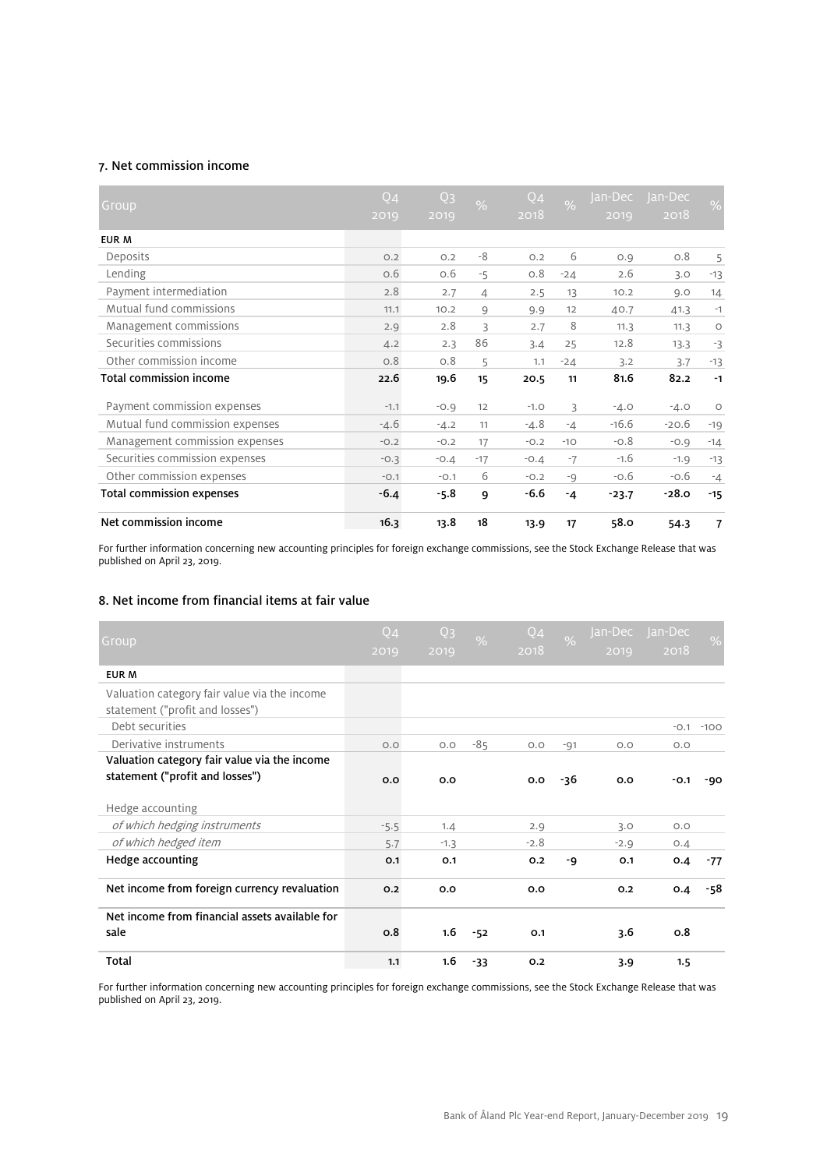### 7. Net commission income

| Group                           | Q <sub>4</sub><br>2019 | Q <sub>3</sub><br>2019 | $\frac{0}{6}$ | Q <sub>4</sub><br>2018 | $\overline{\%}$ | Jan- <u>Dec</u><br>2019 | Jan-Dec<br>2018 | $\frac{0}{0}$ |
|---------------------------------|------------------------|------------------------|---------------|------------------------|-----------------|-------------------------|-----------------|---------------|
| EUR M                           |                        |                        |               |                        |                 |                         |                 |               |
| Deposits                        | O.2                    | O.2                    | -8            | O.2                    | 6               | O.9                     | O.8             | 5             |
| Lending                         | 0.6                    | O.6                    | $-5$          | O.8                    | $-24$           | 2.6                     | 3.0             | $-13$         |
| Payment intermediation          | 2.8                    | 2.7                    | 4             | 2.5                    | 13              | 10.2                    | 9.0             | 14            |
| Mutual fund commissions         | 11.1                   | 10.2                   | 9             | 9.9                    | 12              | 40.7                    | 41.3            | $-1$          |
| Management commissions          | 2.9                    | 2.8                    | 3             | 2.7                    | 8               | 11.3                    | 11.3            | $\circ$       |
| Securities commissions          | 4.2                    | 2.3                    | 86            | 3.4                    | 25              | 12.8                    | 13.3            | $-3$          |
| Other commission income         | 0.8                    | 0.8                    | 5             | 1.1                    | $-24$           | 3.2                     | 3.7             | $-13$         |
| <b>Total commission income</b>  | 22.6                   | 19.6                   | 15            | 20.5                   | 11              | 81.6                    | 82.2            | $-1$          |
| Payment commission expenses     | $-1.1$                 | $-0.9$                 | 12            | $-1.0$                 | 3               | $-4.0$                  | $-4.0$          | $\circ$       |
| Mutual fund commission expenses | $-4.6$                 | $-4.2$                 | 11            | $-4.8$                 | $-4$            | $-16.6$                 | $-20.6$         | $-19$         |
| Management commission expenses  | $-0.2$                 | $-0.2$                 | 17            | $-0.2$                 | $-10$           | $-0.8$                  | $-0.9$          | $-14$         |
| Securities commission expenses  | $-0.3$                 | $-0.4$                 | $-17$         | $-0.4$                 | $-7$            | $-1.6$                  | $-1.9$          | $-13$         |
| Other commission expenses       | $-0.1$                 | $-0.1$                 | 6             | $-0.2$                 | $-9$            | $-0.6$                  | $-0.6$          | $-4$          |
| Total commission expenses       | $-6.4$                 | $-5.8$                 | 9             | $-6.6$                 | $-4$            | $-23.7$                 | $-28.0$         | $-15$         |
| Net commission income           | 16.3                   | 13.8                   | 18            | 13.9                   | 17              | 58.0                    | 54.3            | 7             |

For further information concerning new accounting principles for foreign exchange commissions, see the Stock Exchange Release that was published on April 23, 2019.

### 8. Net income from financial items at fair value

| Group                                                                           | Q <sub>4</sub><br>2019 | Q <sub>3</sub><br>2019 | $\frac{0}{0}$ | Q4<br>2018 | $\frac{9}{6}$ | Jan-Dec<br>2019 | Jan-Dec<br>2018 | $\frac{0}{0}$ |
|---------------------------------------------------------------------------------|------------------------|------------------------|---------------|------------|---------------|-----------------|-----------------|---------------|
| <b>EUR M</b>                                                                    |                        |                        |               |            |               |                 |                 |               |
| Valuation category fair value via the income<br>statement ("profit and losses") |                        |                        |               |            |               |                 |                 |               |
| Debt securities                                                                 |                        |                        |               |            |               |                 |                 | $-0.1 - 100$  |
| Derivative instruments                                                          | O.O                    | O.O                    | $-85$         | O.O        | $-91$         | O.O             | O.O             |               |
| Valuation category fair value via the income<br>statement ("profit and losses") | 0.0                    | 0.0                    |               | 0.0        | -36           | 0.0             | $-0.1$          | -90           |
| Hedge accounting                                                                |                        |                        |               |            |               |                 |                 |               |
| of which hedging instruments                                                    | $-5.5$                 | 1.4                    |               | 2.9        |               | 3.0             | O.O             |               |
| of which hedged item                                                            | 5.7                    | $-1.3$                 |               | $-2.8$     |               | $-2.9$          | O.A             |               |
| Hedge accounting                                                                | O.1                    | O.1                    |               | 0.2        | -9            | O.1             | 0.4             | $-77$         |
| Net income from foreign currency revaluation                                    | 0.2                    | 0.0                    |               | 0.0        |               | O.2             | 0.4             | -58           |
| Net income from financial assets available for                                  |                        |                        |               |            |               |                 |                 |               |
| sale                                                                            | 0.8                    | 1.6                    | $-52$         | O.1        |               | 3.6             | 0.8             |               |
| Total                                                                           | 1.1                    | 1.6                    | $-33$         | 0.2        |               | 3.9             | 1.5             |               |

For further information concerning new accounting principles for foreign exchange commissions, see the Stock Exchange Release that was published on April 23, 2019.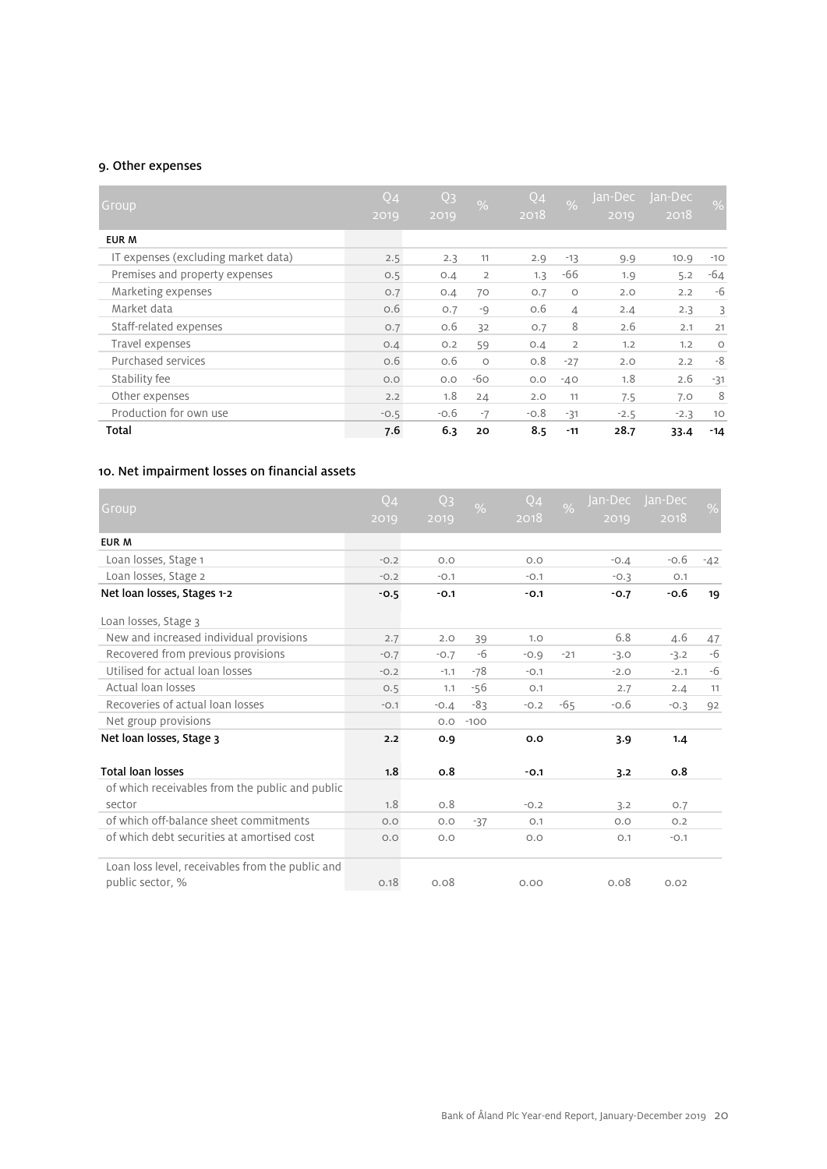### 9. Other expenses

| Group                               | Q <sub>4</sub><br>2019 | Q <sub>3</sub><br>2019 | $\frac{1}{2}$  | Q <sub>4</sub><br>2018 | $\overline{\%}$ | Jan-Decl<br>2019 | Jan-Dec<br>2018 | $\sqrt{2}$ |
|-------------------------------------|------------------------|------------------------|----------------|------------------------|-----------------|------------------|-----------------|------------|
| EUR M                               |                        |                        |                |                        |                 |                  |                 |            |
| IT expenses (excluding market data) | 2.5                    | 2.3                    | 11             | 2.9                    | $-13$           | 9.9              | 10.9            | $-10$      |
| Premises and property expenses      | O.5                    | O.4                    | $\overline{2}$ | 1.3                    | -66             | 1.9              | 5.2             | $-64$      |
| Marketing expenses                  | 0.7                    | O.4                    | 70             | O.7                    | $\circ$         | 2.0              | 2.2             | -6         |
| Market data                         | O.6                    | O.7                    | $-9$           | O.6                    | $\overline{4}$  | 2.4              | 2.3             | 3          |
| Staff-related expenses              | O.7                    | 0.6                    | 32             | O.7                    | 8               | 2.6              | 2.1             | 21         |
| Travel expenses                     | O.4                    | O.2                    | 59             | O.4                    | $\overline{2}$  | 1.2              | 1.2             | $\circ$    |
| Purchased services                  | O.6                    | 0.6                    | $\circ$        | O.8                    | $-27$           | 2.0              | 2.2             | -8         |
| Stability fee                       | O.O                    | O.O                    | $-60$          | O.O                    | $-40$           | 1.8              | 2.6             | $-31$      |
| Other expenses                      | 2.2                    | 1.8                    | 24             | 2.0                    | 11              | 7.5              | 7.0             | 8          |
| Production for own use              | $-0.5$                 | $-0.6$                 | $-7$           | $-0.8$                 | $-31$           | $-2.5$           | $-2.3$          | 10         |
| Total                               | 7.6                    | 6.3                    | 20             | 8.5                    | $-11$           | 28.7             | 33.4            | $-14$      |

# 10. Net impairment losses on financial assets

| Group                                                                | Q <sub>4</sub><br>2019 | Q <sub>3</sub><br>2019 | $\frac{0}{6}$ | Q4<br>2018 | $\frac{6}{6}$ | 2019   | lan-Dec lan-Dec<br>2018 | $\frac{1}{2}$ |
|----------------------------------------------------------------------|------------------------|------------------------|---------------|------------|---------------|--------|-------------------------|---------------|
| <b>EUR M</b>                                                         |                        |                        |               |            |               |        |                         |               |
| Loan losses, Stage 1                                                 | $-0.2$                 | O.O                    |               | O.O        |               | $-0.4$ | $-0.6$                  | $-42$         |
| Loan losses, Stage 2                                                 | $-0.2$                 | $-0.1$                 |               | $-0.1$     |               | $-0.3$ | O.1                     |               |
| Net loan losses, Stages 1-2                                          | $-0.5$                 | $-0.1$                 |               | $-0.1$     |               | $-0.7$ | $-0.6$                  | 19            |
| Loan losses, Stage 3                                                 |                        |                        |               |            |               |        |                         |               |
| New and increased individual provisions                              | 2.7                    | 2.0                    | 39            | 1.0        |               | 6.8    | 4.6                     | 47            |
| Recovered from previous provisions                                   | $-0.7$                 | $-0.7$                 | -6            | $-0.9$     | $-21$         | $-3.0$ | $-3.2$                  | $-6$          |
| Utilised for actual loan losses                                      | $-0.2$                 | $-1.1$                 | $-78$         | $-0.1$     |               | $-2.0$ | $-2.1$                  | -6            |
| Actual loan losses                                                   | 0.5                    | 1.1                    | $-56$         | O.1        |               | 2.7    | 2.4                     | 11            |
| Recoveries of actual loan losses                                     | $-0.1$                 | $-0.4$                 | $-83$         | $-0.2$     | $-65$         | $-0.6$ | $-0.3$                  | 92            |
| Net group provisions                                                 |                        | O.O                    | $-100$        |            |               |        |                         |               |
| Net loan losses, Stage 3                                             | 2.2                    | 0.9                    |               | 0.0        |               | 3.9    | 1.4                     |               |
| <b>Total loan losses</b>                                             | 1.8                    | 0.8                    |               | $-0.1$     |               | 3.2    | 0.8                     |               |
| of which receivables from the public and public                      |                        |                        |               |            |               |        |                         |               |
| sector                                                               | 1.8                    | O.8                    |               | $-0.2$     |               | 3.2    | O.7                     |               |
| of which off-balance sheet commitments                               | O.O                    | O.O                    | $-37$         | O.1        |               | O.O    | O.2                     |               |
| of which debt securities at amortised cost                           | O.O                    | O.O                    |               | O.O        |               | O.1    | $-0.1$                  |               |
| Loan loss level, receivables from the public and<br>public sector, % | 0.18                   | 0.08                   |               | 0.00       |               | 0.08   | 0.02                    |               |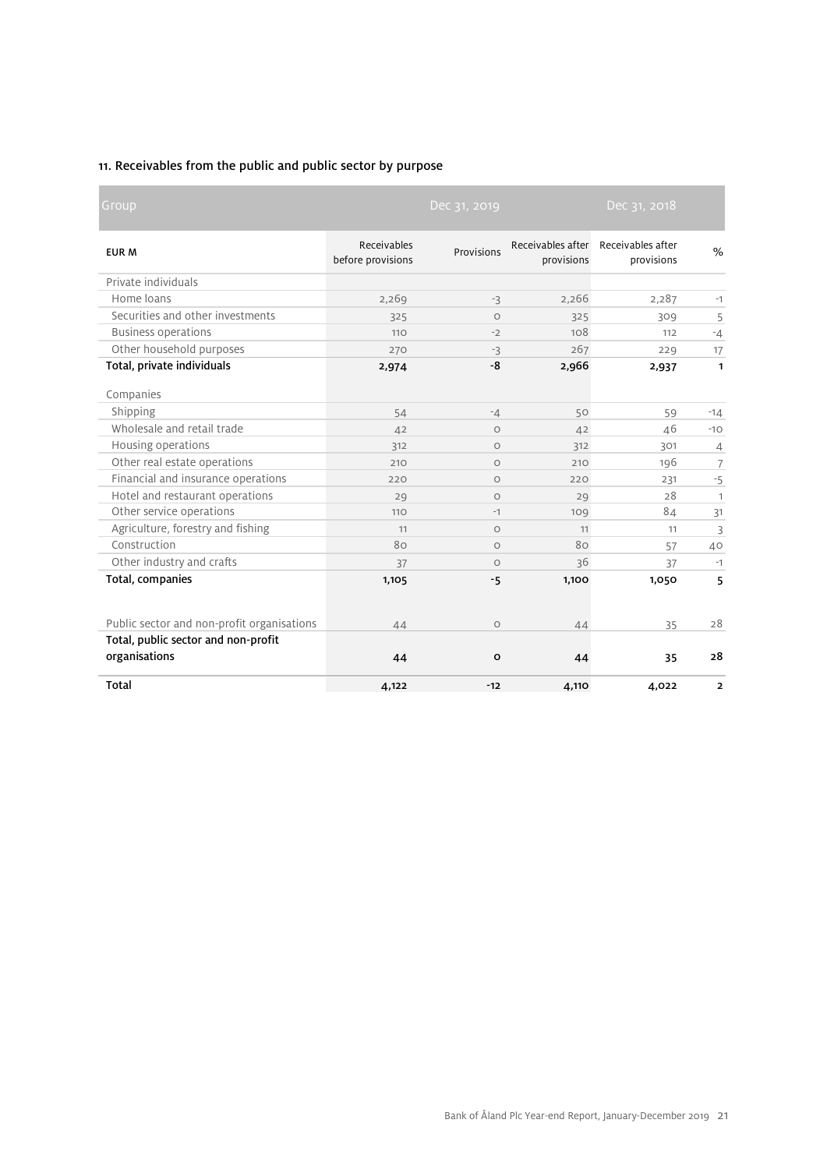# 11. Receivables from the public and public sector by purpose

**COL** 

| Group                                      |                                  | Dec 31, 2019 |                                 | Dec 31, 2018                    |                         |
|--------------------------------------------|----------------------------------|--------------|---------------------------------|---------------------------------|-------------------------|
| <b>EUR M</b>                               | Receivables<br>before provisions | Provisions   | Receivables after<br>provisions | Receivables after<br>provisions | $\frac{0}{0}$           |
| Private individuals                        |                                  |              |                                 |                                 |                         |
| Home loans                                 | 2,269                            | $-3$         | 2,266                           | 2,287                           | $-1$                    |
| Securities and other investments           | 325                              | $\circ$      | 325                             | 309                             | 5                       |
| <b>Business operations</b>                 | 110                              | $-2$         | 108                             | 112                             | $-4$                    |
| Other household purposes                   | 270                              | $-3$         | 267                             | 229                             | 17                      |
| Total, private individuals                 | 2,974                            | -8           | 2,966                           | 2,937                           | $\mathbf{1}$            |
| Companies                                  |                                  |              |                                 |                                 |                         |
| Shipping                                   | 54                               | $-4$         | 50                              | 59                              | $-14$                   |
| Wholesale and retail trade                 | 42                               | $\circ$      | 42                              | 46                              | $-10$                   |
| Housing operations                         | 312                              | $\circ$      | 312                             | 301                             | $\overline{4}$          |
| Other real estate operations               | 210                              | $\circ$      | 210                             | 196                             | $\overline{7}$          |
| Financial and insurance operations         | 220                              | $\circ$      | 220                             | 231                             | $-5$                    |
| Hotel and restaurant operations            | 29                               | $\circ$      | 29                              | 28                              | $\mathbf{1}$            |
| Other service operations                   | 110                              | $-1$         | 109                             | 84                              | 31                      |
| Agriculture, forestry and fishing          | 11                               | $\circ$      | 11                              | 11                              | 3                       |
| Construction                               | 80                               | $\circ$      | 80                              | 57                              | 40                      |
| Other industry and crafts                  | 37                               | $\circ$      | 36                              | 37                              | $-1$                    |
| Total, companies                           | 1,105                            | -5           | 1,100                           | 1,050                           | 5                       |
| Public sector and non-profit organisations | 44                               | $\circ$      | 44                              | 35                              | 28                      |
| Total, public sector and non-profit        |                                  |              |                                 |                                 |                         |
| organisations                              | 44                               | O            | 44                              | 35                              | 28                      |
| <b>Total</b>                               | 4,122                            | $-12$        | 4,110                           | 4,022                           | $\overline{\mathbf{2}}$ |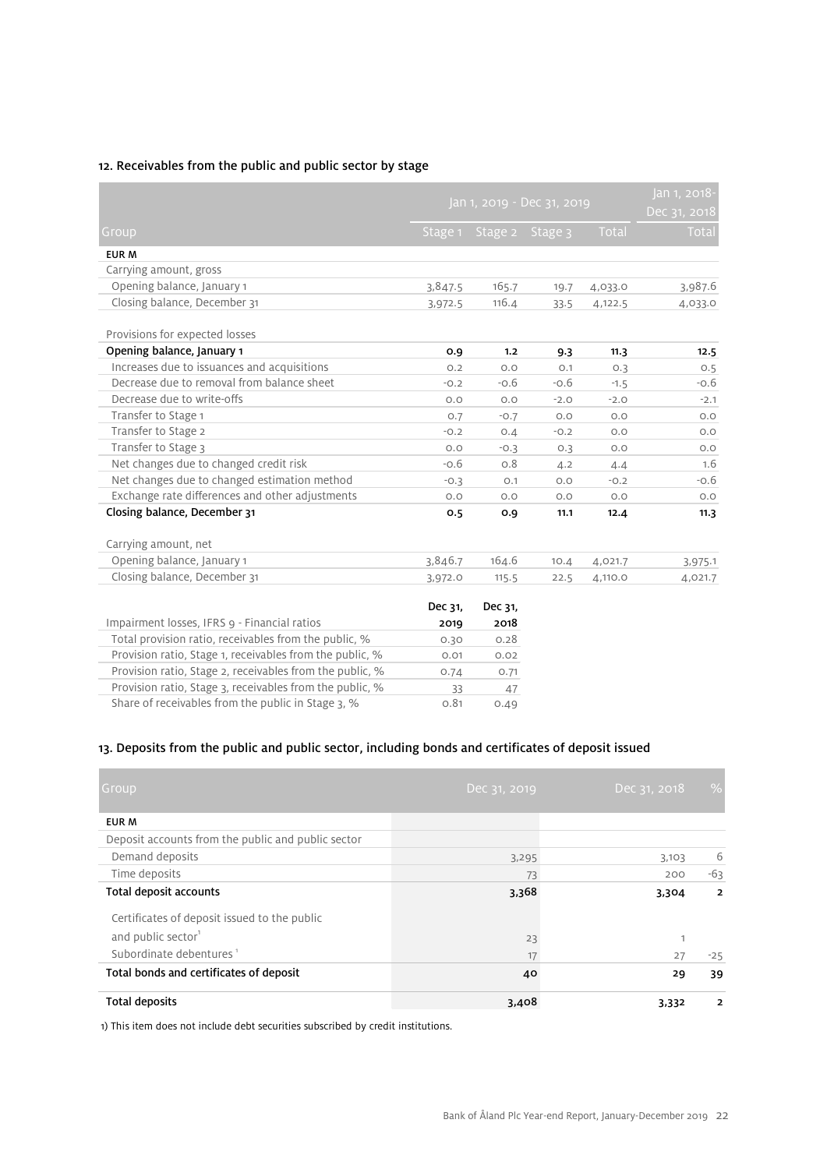### 12. Receivables from the public and public sector by stage

|                                                          |         | Jan 1, 2019 - Dec 31, 2019 |         |         |              |  |
|----------------------------------------------------------|---------|----------------------------|---------|---------|--------------|--|
| Group                                                    |         | Stage 1 Stage 2            | Stage 3 | Total   | <b>Total</b> |  |
| <b>EUR M</b>                                             |         |                            |         |         |              |  |
| Carrying amount, gross                                   |         |                            |         |         |              |  |
| Opening balance, January 1                               | 3,847.5 | 165.7                      | 19.7    | 4,033.0 | 3,987.6      |  |
| Closing balance, December 31                             | 3,972.5 | 116.4                      | 33.5    | 4,122.5 | 4,033.0      |  |
| Provisions for expected losses                           |         |                            |         |         |              |  |
| Opening balance, January 1                               | 0.9     | 1.2                        | 9.3     | 11.3    | 12.5         |  |
| Increases due to issuances and acquisitions              | O.2     | O.O                        | O.1     | 0.3     | 0.5          |  |
| Decrease due to removal from balance sheet               | $-0.2$  | $-0.6$                     | $-0.6$  | $-1.5$  | $-0.6$       |  |
| Decrease due to write-offs                               | O.O     | O.O                        | $-2.0$  | $-2.0$  | $-2.1$       |  |
| Transfer to Stage 1                                      | O.7     | $-0.7$                     | O.O     | O.O     | O.O          |  |
| Transfer to Stage 2                                      | $-0.2$  | 0.4                        | $-0.2$  | O.O     | O.O          |  |
| Transfer to Stage 3                                      | O.O     | $-0.3$                     | O.3     | O.O     | O.O          |  |
| Net changes due to changed credit risk                   | $-0.6$  | O.8                        | 4.2     | 4.4     | 1.6          |  |
| Net changes due to changed estimation method             | $-0.3$  | O.1                        | O.O     | $-0.2$  | $-0.6$       |  |
| Exchange rate differences and other adjustments          | O.O     | O.O                        | O.O     | O.O     | O.O          |  |
| Closing balance, December 31                             | 0.5     | 0.9                        | 11,1    | 12.4    | 11.3         |  |
| Carrying amount, net                                     |         |                            |         |         |              |  |
| Opening balance, January 1                               | 3,846.7 | 164.6                      | 10.4    | 4,021.7 | 3,975.1      |  |
| Closing balance, December 31                             | 3,972.0 | 115.5                      | 22.5    | 4,110.0 | 4,021.7      |  |
|                                                          | Dec 31, | Dec 31,                    |         |         |              |  |
| Impairment losses, IFRS 9 - Financial ratios             | 2019    | 2018                       |         |         |              |  |
| Total provision ratio, receivables from the public, %    | 0.30    | 0.28                       |         |         |              |  |
| Provision ratio, Stage 1, receivables from the public, % | 0.01    | 0.02                       |         |         |              |  |
| Provision ratio, Stage 2, receivables from the public, % | 0.74    | 0.71                       |         |         |              |  |
| Provision ratio, Stage 3, receivables from the public, % | 33      | 47                         |         |         |              |  |
| Share of receivables from the public in Stage 3, %       | 0.81    | 0.49                       |         |         |              |  |

# 13. Deposits from the public and public sector, including bonds and certificates of deposit issued

| Group                                              | Dec 31, 2019 | Dec 31, 2018 | $\frac{0}{0}$  |
|----------------------------------------------------|--------------|--------------|----------------|
| <b>EUR M</b>                                       |              |              |                |
| Deposit accounts from the public and public sector |              |              |                |
| Demand deposits                                    | 3,295        | 3,103        | 6              |
| Time deposits                                      | 73           | 200          | $-63$          |
| Total deposit accounts                             | 3,368        | 3,304        | $\overline{2}$ |
| Certificates of deposit issued to the public       |              |              |                |
| and public sector <sup>1</sup>                     | 23           |              |                |
| Subordinate debentures <sup>1</sup>                | 17           | 27           | $-25$          |
| Total bonds and certificates of deposit            | 40           | 29           | 39             |
| <b>Total deposits</b>                              | 3,408        | 3,332        | $\overline{2}$ |

1) This item does not include debt securities subscribed by credit institutions.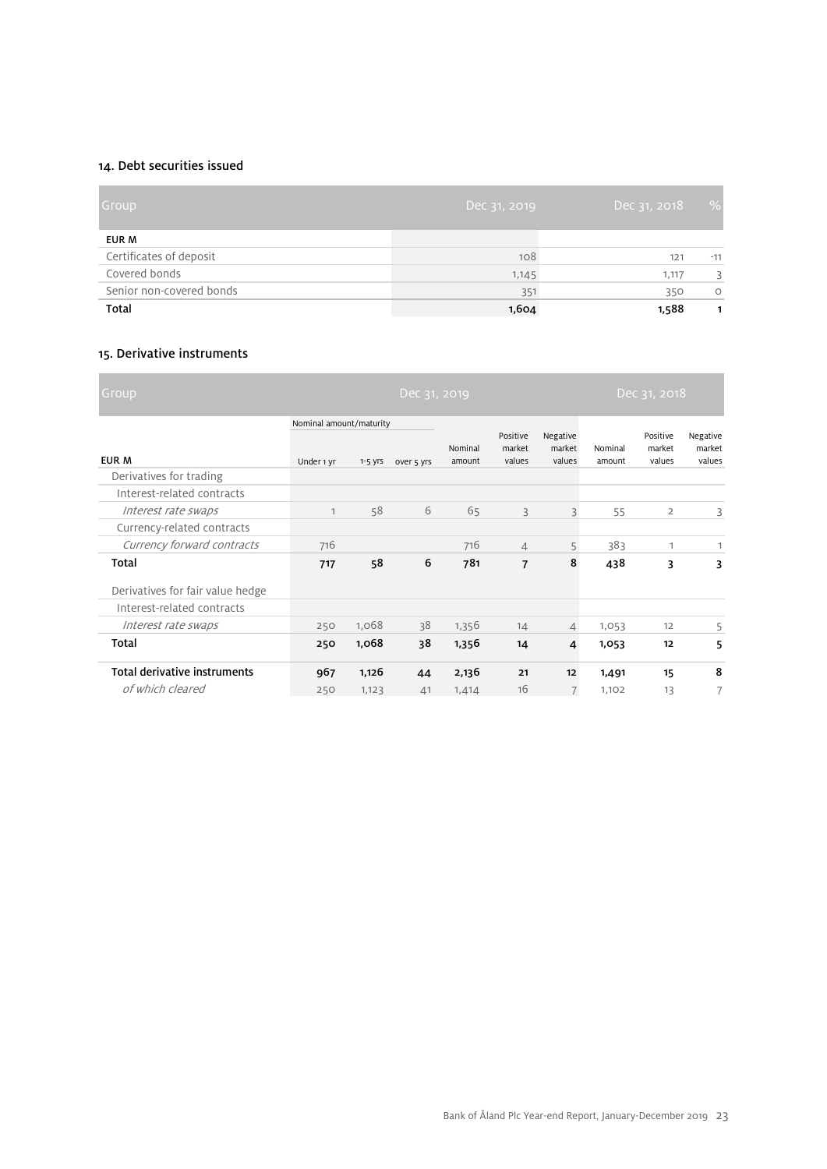### 14. Debt securities issued

| Group                    | Dec 31, 2019 | Dec 31, 2018 | $\%$    |
|--------------------------|--------------|--------------|---------|
| EUR M                    |              |              |         |
| Certificates of deposit  | 108          | 121          | $-11$   |
| Covered bonds            | 1,145        | 1,117        | 3       |
| Senior non-covered bonds | 351          | 350          | $\circ$ |
| Total                    | 1,604        | 1,588        | 1       |

### 15. Derivative instruments

| Group,                              |                                       |             | Dec 31, 2019 |                   |                              |                              |                   | Dec 31, 2018                 |                              |
|-------------------------------------|---------------------------------------|-------------|--------------|-------------------|------------------------------|------------------------------|-------------------|------------------------------|------------------------------|
| EUR M                               | Nominal amount/maturity<br>Under 1 yr | $1 - 5$ yrs | over 5 yrs   | Nominal<br>amount | Positive<br>market<br>values | Negative<br>market<br>values | Nominal<br>amount | Positive<br>market<br>values | Negative<br>market<br>values |
| Derivatives for trading             |                                       |             |              |                   |                              |                              |                   |                              |                              |
| Interest-related contracts          |                                       |             |              |                   |                              |                              |                   |                              |                              |
| Interest rate swaps                 | $\mathbf{1}$                          | 58          | 6            | 65                | 3                            | 3                            | 55                | $\overline{2}$               | 3                            |
| Currency-related contracts          |                                       |             |              |                   |                              |                              |                   |                              |                              |
| Currency forward contracts          | 716                                   |             |              | 716               | 4                            | 5                            | 383               | 1                            | 1                            |
| Total                               | 717                                   | 58          | 6            | 781               | $\overline{7}$               | 8                            | 438               | 3                            | 3                            |
| Derivatives for fair value hedge    |                                       |             |              |                   |                              |                              |                   |                              |                              |
| Interest-related contracts          |                                       |             |              |                   |                              |                              |                   |                              |                              |
| Interest rate swaps                 | 250                                   | 1,068       | 38           | 1,356             | 14                           | $\overline{4}$               | 1,053             | 12                           | 5                            |
| Total                               | 250                                   | 1,068       | 38           | 1,356             | 14                           | $\overline{4}$               | 1,053             | 12                           | 5                            |
| <b>Total derivative instruments</b> | 967                                   | 1,126       | 44           | 2,136             | 21                           | 12                           | 1,491             | 15                           | 8                            |
| of which cleared                    | 250                                   | 1,123       | 41           | 1,414             | 16                           | $\overline{7}$               | 1,102             | 13                           | 7                            |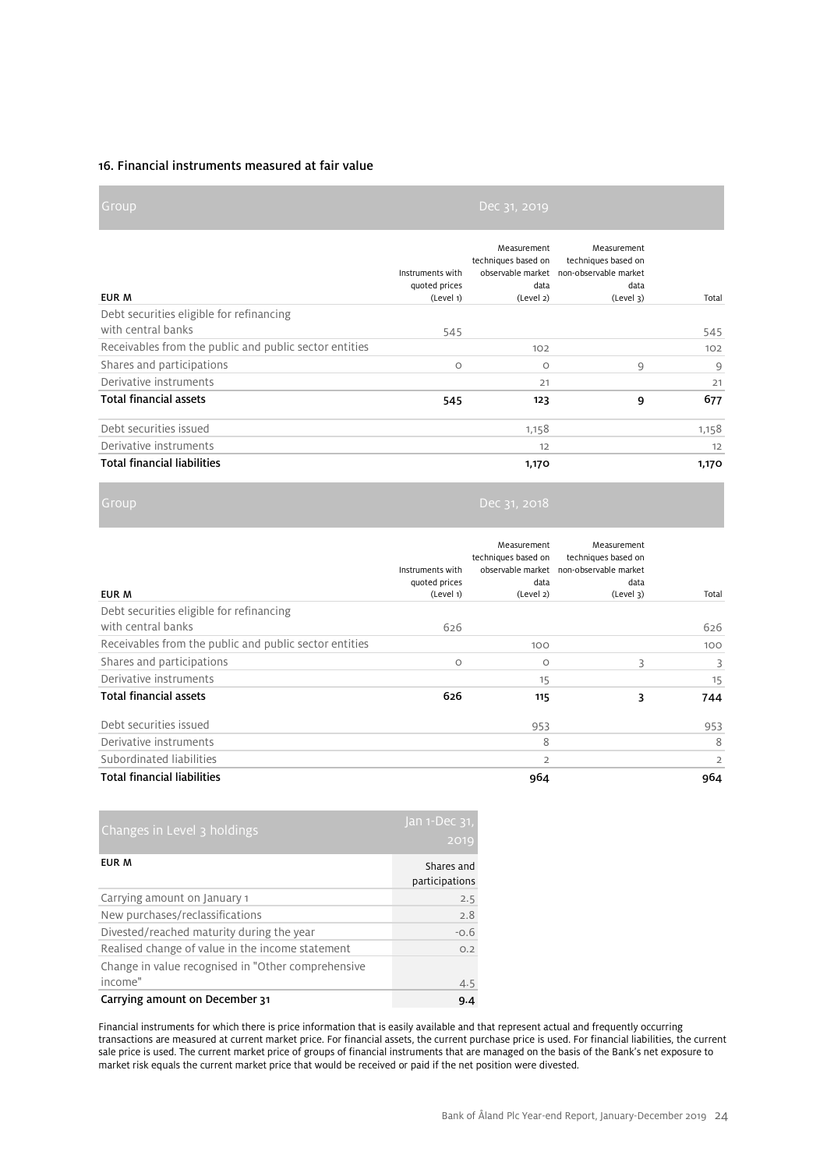### 16. Financial instruments measured at fair value

| Group                                                  |                                                | Dec 31, 2019                                            |                                                                                                                |       |
|--------------------------------------------------------|------------------------------------------------|---------------------------------------------------------|----------------------------------------------------------------------------------------------------------------|-------|
| EUR M                                                  | Instruments with<br>quoted prices<br>(Level 1) | Measurement<br>techniques based on<br>data<br>(Level 2) | Measurement<br>techniques based on<br>observable market non-observable market<br>data<br>(Level <sub>3</sub> ) | Total |
| Debt securities eligible for refinancing               |                                                |                                                         |                                                                                                                |       |
| with central banks                                     | 545                                            |                                                         |                                                                                                                | 545   |
| Receivables from the public and public sector entities |                                                | 102                                                     |                                                                                                                | 102   |
| Shares and participations                              | $\circ$                                        | $\circ$                                                 | 9                                                                                                              | 9     |
| Derivative instruments                                 |                                                | 21                                                      |                                                                                                                | 21    |
| <b>Total financial assets</b>                          | 545                                            | 123                                                     | 9                                                                                                              | 677   |
| Debt securities issued                                 |                                                | 1,158                                                   |                                                                                                                | 1,158 |
| Derivative instruments                                 |                                                | 12                                                      |                                                                                                                | 12    |
| <b>Total financial liabilities</b>                     |                                                | 1,170                                                   |                                                                                                                | 1,170 |

| EUR M                                                  | Instruments with<br>quoted prices<br>(Level 1) | Measurement<br>techniques based on<br>data<br>(Level 2) | Measurement<br>techniques based on<br>observable market non-observable market<br>data<br>(Level <sub>3</sub> ) | Total          |
|--------------------------------------------------------|------------------------------------------------|---------------------------------------------------------|----------------------------------------------------------------------------------------------------------------|----------------|
| Debt securities eligible for refinancing               |                                                |                                                         |                                                                                                                |                |
| with central banks                                     | 626                                            |                                                         |                                                                                                                | 626            |
| Receivables from the public and public sector entities |                                                | 100                                                     |                                                                                                                | 100            |
| Shares and participations                              | $\circ$                                        | $\circ$                                                 | 3                                                                                                              | 3              |
| Derivative instruments                                 |                                                | 15                                                      |                                                                                                                | 15             |
| <b>Total financial assets</b>                          | 626                                            | 115                                                     | 3                                                                                                              | 744            |
| Debt securities issued                                 |                                                | 953                                                     |                                                                                                                | 953            |
| Derivative instruments                                 |                                                | 8                                                       |                                                                                                                | 8              |
| Subordinated liabilities                               |                                                | $\overline{2}$                                          |                                                                                                                | $\overline{2}$ |
| <b>Total financial liabilities</b>                     |                                                | 964                                                     |                                                                                                                | 964            |

| Changes in Level 3 holdings                        | Jan 1-Dec 31,<br>2019        |
|----------------------------------------------------|------------------------------|
| EUR M                                              | Shares and<br>participations |
| Carrying amount on January 1                       | 2.5                          |
| New purchases/reclassifications                    | 2.8                          |
| Divested/reached maturity during the year          | $-0.6$                       |
| Realised change of value in the income statement   | O.2                          |
| Change in value recognised in "Other comprehensive |                              |
| income"                                            | 4.5                          |
| Carrying amount on December 31                     | 9.4                          |

Financial instruments for which there is price information that is easily available and that represent actual and frequently occurring transactions are measured at current market price. For financial assets, the current purchase price is used. For financial liabilities, the current sale price is used. The current market price of groups of financial instruments that are managed on the basis of the Bank's net exposure to market risk equals the current market price that would be received or paid if the net position were divested.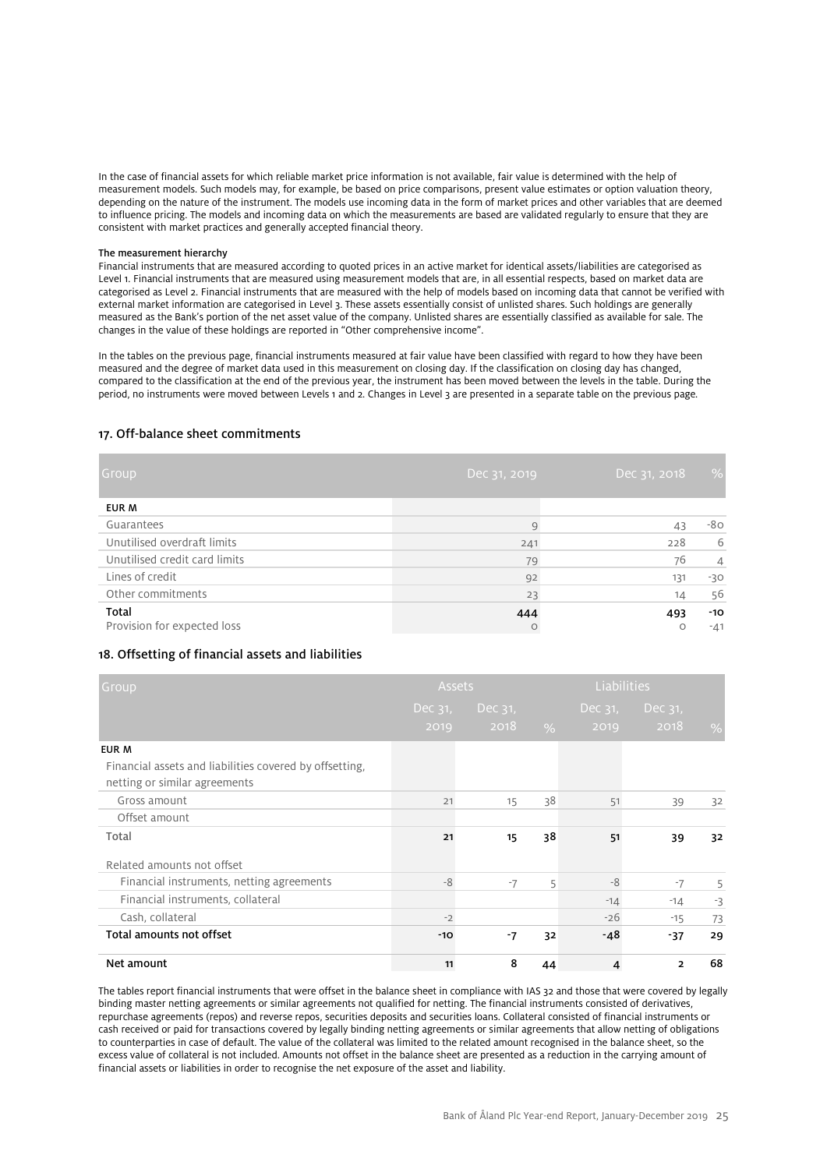In the case of financial assets for which reliable market price information is not available, fair value is determined with the help of measurement models. Such models may, for example, be based on price comparisons, present value estimates or option valuation theory, depending on the nature of the instrument. The models use incoming data in the form of market prices and other variables that are deemed to influence pricing. The models and incoming data on which the measurements are based are validated regularly to ensure that they are consistent with market practices and generally accepted financial theory.

#### The measurement hierarchy

Financial instruments that are measured according to quoted prices in an active market for identical assets/liabilities are categorised as Level 1. Financial instruments that are measured using measurement models that are, in all essential respects, based on market data are categorised as Level 2. Financial instruments that are measured with the help of models based on incoming data that cannot be verified with external market information are categorised in Level 3. These assets essentially consist of unlisted shares. Such holdings are generally measured as the Bank's portion of the net asset value of the company. Unlisted shares are essentially classified as available for sale. The changes in the value of these holdings are reported in "Other comprehensive income".

In the tables on the previous page, financial instruments measured at fair value have been classified with regard to how they have been measured and the degree of market data used in this measurement on closing day. If the classification on closing day has changed, compared to the classification at the end of the previous year, the instrument has been moved between the levels in the table. During the period, no instruments were moved between Levels 1 and 2. Changes in Level 3 are presented in a separate table on the previous page.

### 17. Off-balance sheet commitments

| Group                         | Dec 31, 2019 | Dec 31, 2018 | $\%$           |
|-------------------------------|--------------|--------------|----------------|
| EUR M                         |              |              |                |
| Guarantees                    | 9            | 43           | -80            |
| Unutilised overdraft limits   | 241          | 228          | 6              |
| Unutilised credit card limits | 79           | 76           | $\overline{4}$ |
| Lines of credit               | 92           | 131          | $-30$          |
| Other commitments             | 23           | 14           | 56             |
| Total                         | 444          | 493          | $-10$          |
| Provision for expected loss   | $\circ$      | $\circ$      | $-41$          |

### 18. Offsetting of financial assets and liabilities

| Group                                                   | <b>Assets</b> |            |      | <b>Liabilities</b> |                |               |  |
|---------------------------------------------------------|---------------|------------|------|--------------------|----------------|---------------|--|
|                                                         | Dec 31,       | Dec $31$ , |      | Dec $31$ ,         | Dec $31,$      |               |  |
|                                                         | 2019          | 2018       | $\%$ | 2019               | 2018           | $\frac{0}{0}$ |  |
| EUR M                                                   |               |            |      |                    |                |               |  |
| Financial assets and liabilities covered by offsetting, |               |            |      |                    |                |               |  |
| netting or similar agreements                           |               |            |      |                    |                |               |  |
| Gross amount                                            | 21            | 15         | 38   | 51                 | 39             | 32            |  |
| Offset amount                                           |               |            |      |                    |                |               |  |
| Total                                                   | 21            | 15         | 38   | 51                 | 39             | 32            |  |
| Related amounts not offset                              |               |            |      |                    |                |               |  |
| Financial instruments, netting agreements               | -8            | $-7$       | 5    | -8                 | $-7$           | 5             |  |
| Financial instruments, collateral                       |               |            |      | $-14$              | $-14$          | $-3$          |  |
| Cash, collateral                                        | $-2$          |            |      | $-26$              | $-15$          | 73            |  |
| Total amounts not offset                                | $-10$         | $-7$       | 32   | -48                | $-37$          | 29            |  |
| Net amount                                              | 11            | 8          | 44   | 4                  | $\overline{2}$ | 68            |  |

The tables report financial instruments that were offset in the balance sheet in compliance with IAS 32 and those that were covered by legally binding master netting agreements or similar agreements not qualified for netting. The financial instruments consisted of derivatives, repurchase agreements (repos) and reverse repos, securities deposits and securities loans. Collateral consisted of financial instruments or cash received or paid for transactions covered by legally binding netting agreements or similar agreements that allow netting of obligations to counterparties in case of default. The value of the collateral was limited to the related amount recognised in the balance sheet, so the excess value of collateral is not included. Amounts not offset in the balance sheet are presented as a reduction in the carrying amount of financial assets or liabilities in order to recognise the net exposure of the asset and liability.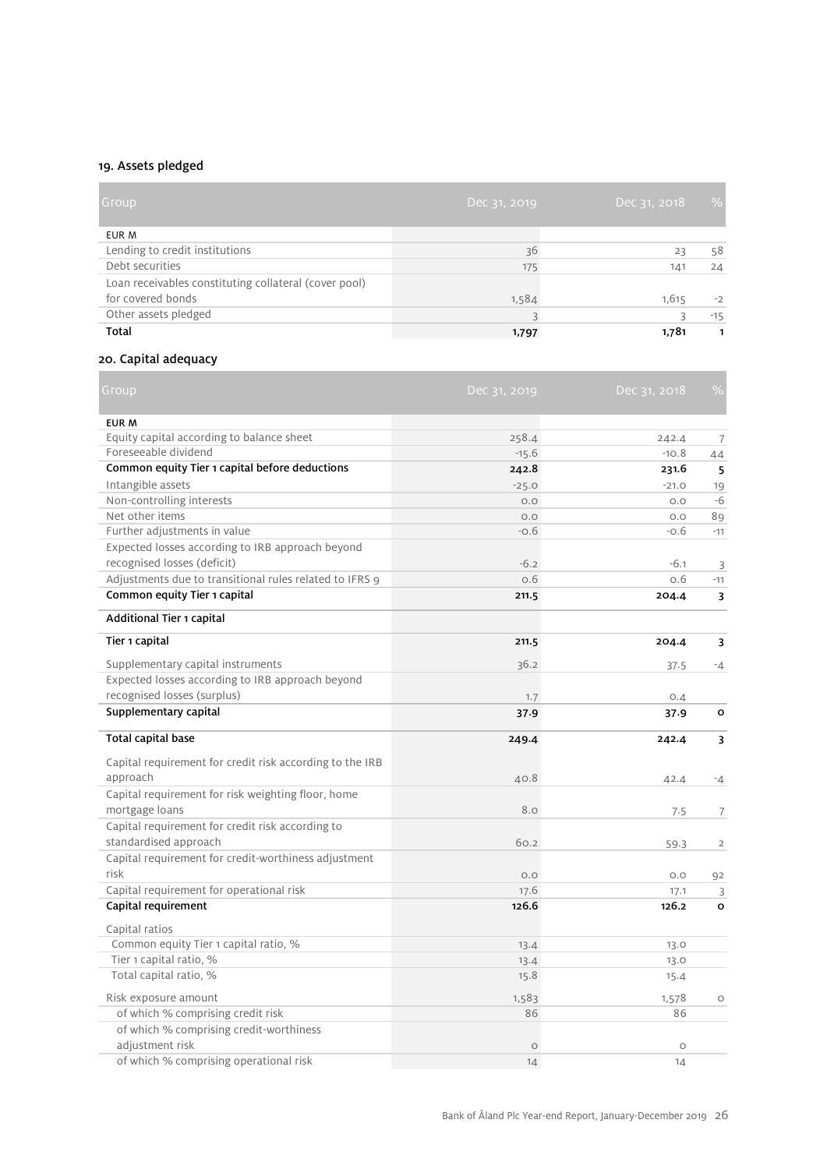# 19. Assets pledged

| Group                                                 | Dec 31, 2019 | Dec 31, 2018 | %     |
|-------------------------------------------------------|--------------|--------------|-------|
| EUR M                                                 |              |              |       |
| Lending to credit institutions                        | 36           | 23           | 58    |
| Debt securities                                       | 175          | 141          | 24    |
| Loan receivables constituting collateral (cover pool) |              |              |       |
| for covered bonds                                     | 1,584        | 1,615        | $-2$  |
| Other assets pledged                                  |              |              | $-15$ |
| <b>Total</b>                                          | 1,797        | 1,781        |       |

# 20. Capital adequacy

| Group                                                    | Dec 31, 2019 | Dec 31, 2018 | $\%$           |
|----------------------------------------------------------|--------------|--------------|----------------|
| EUR M                                                    |              |              |                |
| Equity capital according to balance sheet                | 258.4        | 242.4        | $\overline{7}$ |
| Foreseeable dividend                                     | $-15.6$      | $-10.8$      | 44             |
| Common equity Tier 1 capital before deductions           | 242.8        | 231.6        | 5              |
| Intangible assets                                        | $-25.0$      | $-21.0$      | 19             |
| Non-controlling interests                                | O.O          | O.O          | $-6$           |
| Net other items                                          | O.O          | $O.O$        | 89             |
| Further adjustments in value                             | $-0.6$       | $-0.6$       | $-11$          |
| Expected losses according to IRB approach beyond         |              |              |                |
| recognised losses (deficit)                              | $-6.2$       | $-6.1$       | 3              |
| Adjustments due to transitional rules related to IFRS 9  | 0.6          | O.6          | $-11$          |
| Common equity Tier 1 capital                             | 211.5        | 204.4        | 3              |
| Additional Tier 1 capital                                |              |              |                |
| Tier 1 capital                                           | 211.5        | 204.4        | 3              |
| Supplementary capital instruments                        | 36.2         | 37.5         | $-4$           |
| Expected losses according to IRB approach beyond         |              |              |                |
| recognised losses (surplus)                              | 1.7          | 0.4          |                |
| Supplementary capital                                    | 37.9         | 37.9         | $\circ$        |
| <b>Total capital base</b>                                | 249.4        | 242.4        | 3              |
| Capital requirement for credit risk according to the IRB |              |              |                |
| approach                                                 | 40.8         | 42.4         | $-4$           |
| Capital requirement for risk weighting floor, home       |              |              |                |
| mortgage loans                                           | 8.0          | 7.5          | $\overline{7}$ |
| Capital requirement for credit risk according to         |              |              |                |
| standardised approach                                    | 60.2         | 59.3         | $\overline{2}$ |
| Capital requirement for credit-worthiness adjustment     |              |              |                |
| risk                                                     | O.O          | O.O          | 92             |
| Capital requirement for operational risk                 | 17.6         | 17.1         | 3              |
| Capital requirement                                      | 126.6        | 126.2        | $\circ$        |
|                                                          |              |              |                |
| Capital ratios<br>Common equity Tier 1 capital ratio, %  |              |              |                |
| Tier 1 capital ratio, %                                  | 13.4<br>13.4 | 13.0<br>13.0 |                |
| Total capital ratio, %                                   | 15.8         | 15.4         |                |
|                                                          |              |              |                |
| Risk exposure amount                                     | 1,583        | 1,578        | $\circ$        |
| of which % comprising credit risk                        | 86           | 86           |                |
| of which % comprising credit-worthiness                  |              |              |                |
| adjustment risk                                          | $\circ$      | $\circ$      |                |
| of which % comprising operational risk                   | 14           | 14           |                |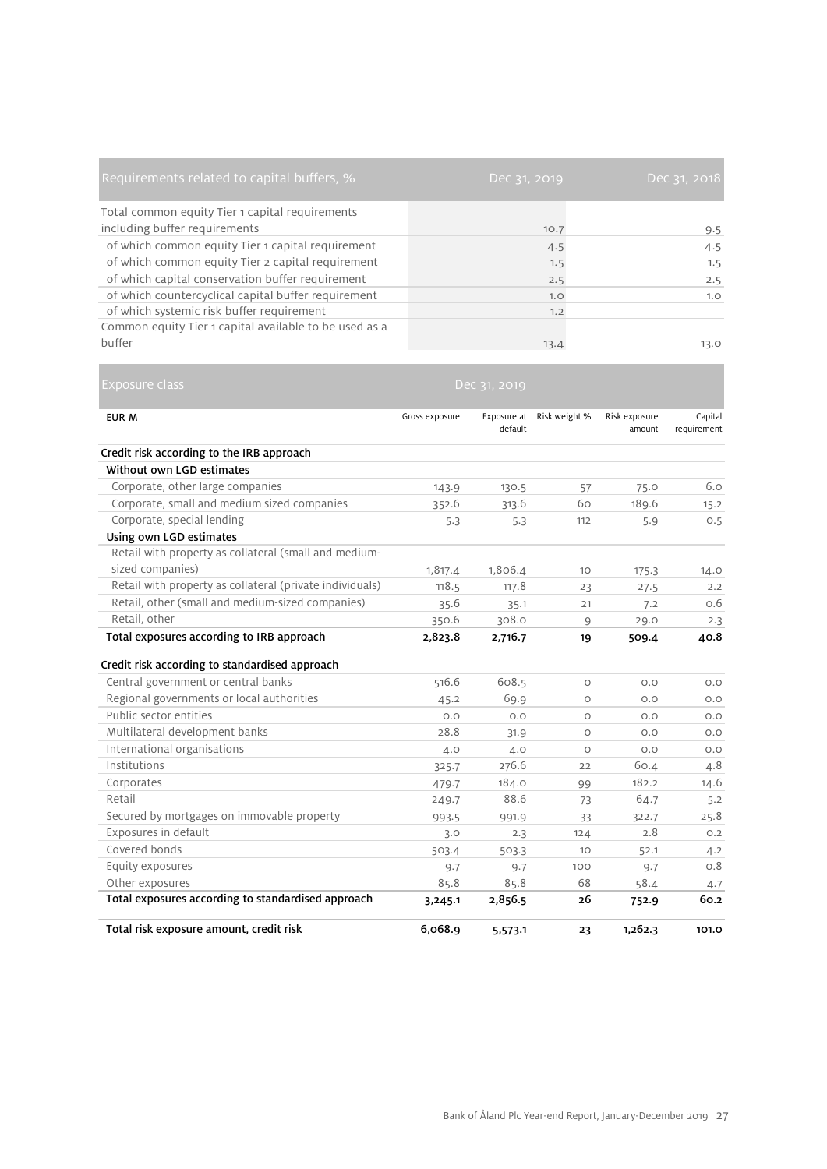| Requirements related to capital buffers, %             | Dec 31, 2019 | Dec 31, 2018 |
|--------------------------------------------------------|--------------|--------------|
| Total common equity Tier 1 capital requirements        |              |              |
| including buffer requirements                          | 10.7         | 9.5          |
| of which common equity Tier 1 capital requirement      | 4.5          | 4.5          |
| of which common equity Tier 2 capital requirement      | 1.5          | 1.5          |
| of which capital conservation buffer requirement       | 2.5          | 2.5          |
| of which countercyclical capital buffer requirement    | 1.0          | 1.0          |
| of which systemic risk buffer requirement              | 1.2          |              |
| Common equity Tier 1 capital available to be used as a |              |              |
| buffer                                                 | 13.4         | 13.0         |

| Exposure class                                           |                | Dec 31, 2019 |                           |                         |                        |
|----------------------------------------------------------|----------------|--------------|---------------------------|-------------------------|------------------------|
| <b>EUR M</b>                                             | Gross exposure | default      | Exposure at Risk weight % | Risk exposure<br>amount | Capital<br>requirement |
| Credit risk according to the IRB approach                |                |              |                           |                         |                        |
| Without own LGD estimates                                |                |              |                           |                         |                        |
| Corporate, other large companies                         | 143.9          | 130.5        | 57                        | 75.0                    | 6.0                    |
| Corporate, small and medium sized companies              | 352.6          | 313.6        | 60                        | 189.6                   | 15.2                   |
| Corporate, special lending                               | 5.3            | 5.3          | 112                       | 5.9                     | O.5                    |
| Using own LGD estimates                                  |                |              |                           |                         |                        |
| Retail with property as collateral (small and medium-    |                |              |                           |                         |                        |
| sized companies)                                         | 1,817.4        | 1,806.4      | 10                        | 175.3                   | 14.0                   |
| Retail with property as collateral (private individuals) | 118.5          | 117.8        | 23                        | 27.5                    | 2.2                    |
| Retail, other (small and medium-sized companies)         | 35.6           | 35.1         | 21                        | 7.2                     | 0.6                    |
| Retail, other                                            | 350.6          | 308.0        | $\overline{9}$            | 29.0                    | 2.3                    |
| Total exposures according to IRB approach                | 2,823.8        | 2,716.7      | 19                        | 509.4                   | 40.8                   |
| Credit risk according to standardised approach           |                |              |                           |                         |                        |
| Central government or central banks                      | 516.6          | 608.5        | $\circ$                   | O.O                     | O.O                    |
| Regional governments or local authorities                | 45.2           | 69.9         | $\circ$                   | O.O                     | O.O                    |
| Public sector entities                                   | O.O            | O.O          | $\circ$                   | O.O                     | O.O                    |
| Multilateral development banks                           | 28.8           | 31.9         | $\circ$                   | O.O                     | O.O                    |
| International organisations                              | 4.0            | 4.0          | $\circ$                   | O.O                     | O.O                    |
| Institutions                                             | 325.7          | 276.6        | 22                        | 60.4                    | 4.8                    |
| Corporates                                               | 479.7          | 184.0        | 99                        | 182.2                   | 14.6                   |
| Retail                                                   | 249.7          | 88.6         | 73                        | 64.7                    | 5.2                    |
| Secured by mortgages on immovable property               | 993.5          | 991.9        | 33                        | 322.7                   | 25.8                   |
| Exposures in default                                     | 3.0            | 2.3          | 124                       | 2.8                     | O.2                    |
| Covered bonds                                            | 503.4          | 503.3        | 10                        | 52.1                    | 4.2                    |
| Equity exposures                                         | 9.7            | 9.7          | 100                       | 9.7                     | 0.8                    |
| Other exposures                                          | 85.8           | 85.8         | 68                        | 58.4                    | 4.7                    |
| Total exposures according to standardised approach       | 3,245.1        | 2,856.5      | 26                        | 752.9                   | 60.2                   |
| Total risk exposure amount, credit risk                  | 6,068.9        | 5,573.1      | 23                        | 1,262.3                 | 101.0                  |